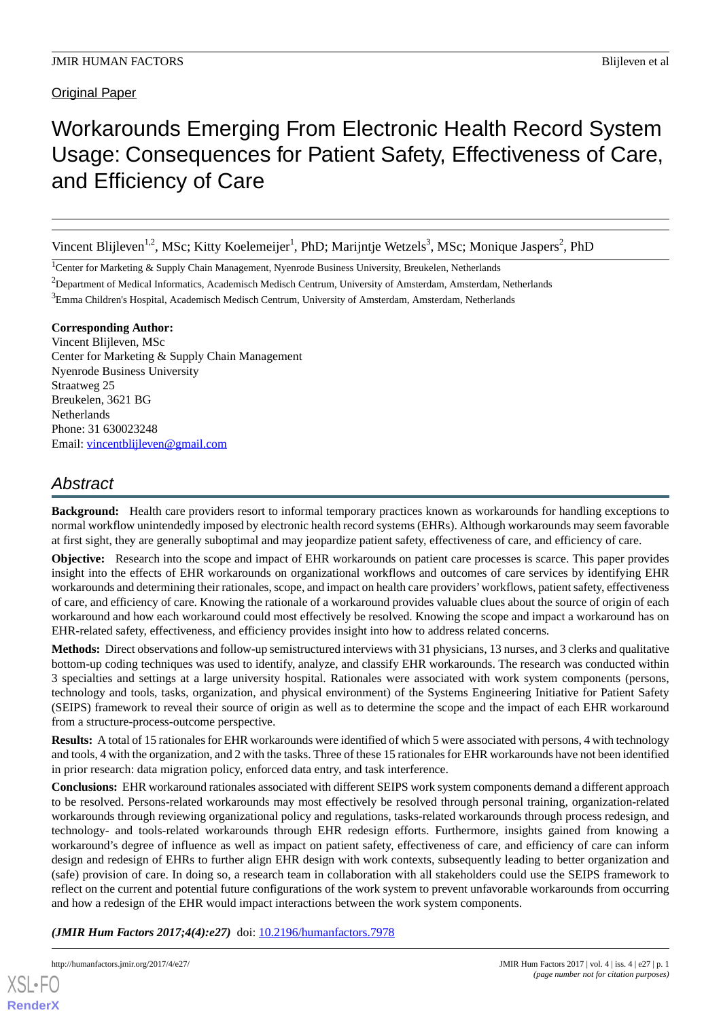# Workarounds Emerging From Electronic Health Record System Usage: Consequences for Patient Safety, Effectiveness of Care, and Efficiency of Care

Vincent Blijleven<sup>1,2</sup>, MSc; Kitty Koelemeijer<sup>1</sup>, PhD; Marijntje Wetzels<sup>3</sup>, MSc; Monique Jaspers<sup>2</sup>, PhD

<sup>1</sup>Center for Marketing & Supply Chain Management, Nyenrode Business University, Breukelen, Netherlands

<sup>2</sup>Department of Medical Informatics, Academisch Medisch Centrum, University of Amsterdam, Amsterdam, Netherlands

<sup>3</sup>Emma Children's Hospital, Academisch Medisch Centrum, University of Amsterdam, Amsterdam, Netherlands

# **Corresponding Author:**

Vincent Blijleven, MSc Center for Marketing & Supply Chain Management Nyenrode Business University Straatweg 25 Breukelen, 3621 BG **Netherlands** Phone: 31 630023248 Email: [vincentblijleven@gmail.com](mailto:vincentblijleven@gmail.com)

# *Abstract*

**Background:** Health care providers resort to informal temporary practices known as workarounds for handling exceptions to normal workflow unintendedly imposed by electronic health record systems (EHRs). Although workarounds may seem favorable at first sight, they are generally suboptimal and may jeopardize patient safety, effectiveness of care, and efficiency of care.

**Objective:** Research into the scope and impact of EHR workarounds on patient care processes is scarce. This paper provides insight into the effects of EHR workarounds on organizational workflows and outcomes of care services by identifying EHR workarounds and determining their rationales, scope, and impact on health care providers'workflows, patient safety, effectiveness of care, and efficiency of care. Knowing the rationale of a workaround provides valuable clues about the source of origin of each workaround and how each workaround could most effectively be resolved. Knowing the scope and impact a workaround has on EHR-related safety, effectiveness, and efficiency provides insight into how to address related concerns.

**Methods:** Direct observations and follow-up semistructured interviews with 31 physicians, 13 nurses, and 3 clerks and qualitative bottom-up coding techniques was used to identify, analyze, and classify EHR workarounds. The research was conducted within 3 specialties and settings at a large university hospital. Rationales were associated with work system components (persons, technology and tools, tasks, organization, and physical environment) of the Systems Engineering Initiative for Patient Safety (SEIPS) framework to reveal their source of origin as well as to determine the scope and the impact of each EHR workaround from a structure-process-outcome perspective.

**Results:** A total of 15 rationales for EHR workarounds were identified of which 5 were associated with persons, 4 with technology and tools, 4 with the organization, and 2 with the tasks. Three of these 15 rationales for EHR workarounds have not been identified in prior research: data migration policy, enforced data entry, and task interference.

**Conclusions:** EHR workaround rationales associated with different SEIPS work system components demand a different approach to be resolved. Persons-related workarounds may most effectively be resolved through personal training, organization-related workarounds through reviewing organizational policy and regulations, tasks-related workarounds through process redesign, and technology- and tools-related workarounds through EHR redesign efforts. Furthermore, insights gained from knowing a workaround's degree of influence as well as impact on patient safety, effectiveness of care, and efficiency of care can inform design and redesign of EHRs to further align EHR design with work contexts, subsequently leading to better organization and (safe) provision of care. In doing so, a research team in collaboration with all stakeholders could use the SEIPS framework to reflect on the current and potential future configurations of the work system to prevent unfavorable workarounds from occurring and how a redesign of the EHR would impact interactions between the work system components.

*(JMIR Hum Factors 2017;4(4):e27)* doi: **[10.2196/humanfactors.7978](http://dx.doi.org/10.2196/humanfactors.7978)**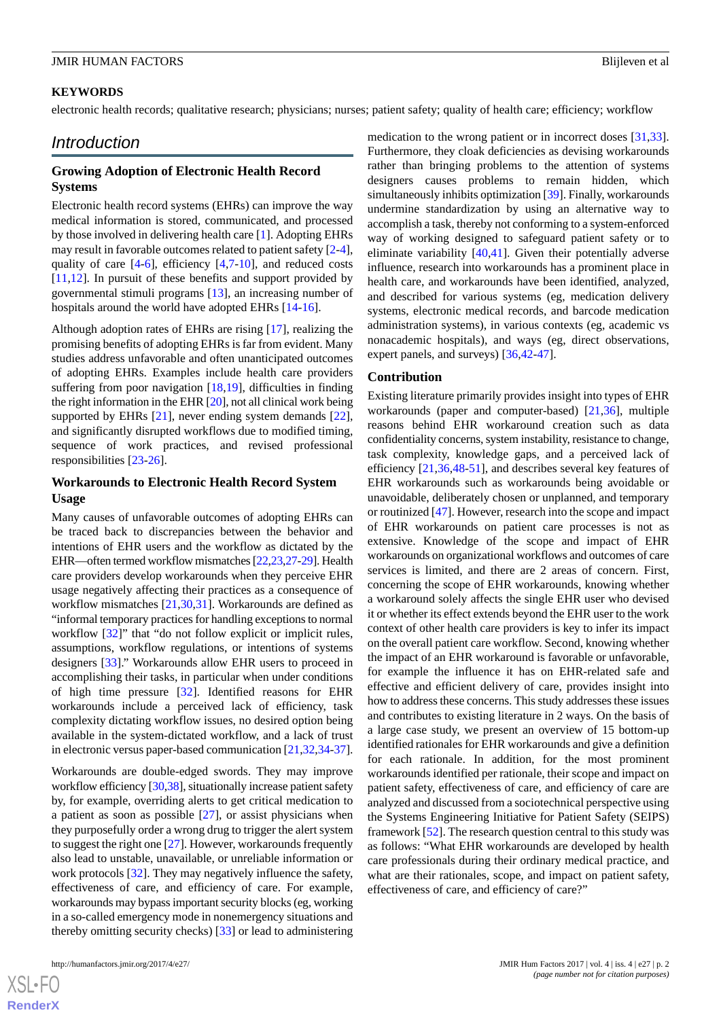# **KEYWORDS**

electronic health records; qualitative research; physicians; nurses; patient safety; quality of health care; efficiency; workflow

# *Introduction*

# **Growing Adoption of Electronic Health Record Systems**

Electronic health record systems (EHRs) can improve the way medical information is stored, communicated, and processed by those involved in delivering health care [[1\]](#page-13-0). Adopting EHRs may result in favorable outcomes related to patient safety [\[2-](#page-13-1)[4\]](#page-13-2), quality of care  $[4-6]$  $[4-6]$  $[4-6]$  $[4-6]$ , efficiency  $[4,7-10]$  $[4,7-10]$  $[4,7-10]$  $[4,7-10]$ , and reduced costs [[11](#page-13-6)[,12](#page-14-0)]. In pursuit of these benefits and support provided by governmental stimuli programs [[13\]](#page-14-1), an increasing number of hospitals around the world have adopted EHRs [\[14](#page-14-2)-[16\]](#page-14-3).

Although adoption rates of EHRs are rising [\[17](#page-14-4)], realizing the promising benefits of adopting EHRs is far from evident. Many studies address unfavorable and often unanticipated outcomes of adopting EHRs. Examples include health care providers suffering from poor navigation [\[18](#page-14-5),[19\]](#page-14-6), difficulties in finding the right information in the EHR [\[20](#page-14-7)], not all clinical work being supported by EHRs [[21\]](#page-14-8), never ending system demands [[22\]](#page-14-9), and significantly disrupted workflows due to modified timing, sequence of work practices, and revised professional responsibilities [[23](#page-14-10)[-26](#page-14-11)].

# **Workarounds to Electronic Health Record System Usage**

Many causes of unfavorable outcomes of adopting EHRs can be traced back to discrepancies between the behavior and intentions of EHR users and the workflow as dictated by the EHR—often termed workflow mismatches [\[22,](#page-14-9)[23,](#page-14-10)[27-](#page-14-12)[29](#page-14-13)]. Health care providers develop workarounds when they perceive EHR usage negatively affecting their practices as a consequence of workflow mismatches [[21,](#page-14-8)[30](#page-14-14),[31\]](#page-14-15). Workarounds are defined as "informal temporary practices for handling exceptions to normal workflow [[32\]](#page-14-16)" that "do not follow explicit or implicit rules, assumptions, workflow regulations, or intentions of systems designers [[33\]](#page-14-17)." Workarounds allow EHR users to proceed in accomplishing their tasks, in particular when under conditions of high time pressure [\[32](#page-14-16)]. Identified reasons for EHR workarounds include a perceived lack of efficiency, task complexity dictating workflow issues, no desired option being available in the system-dictated workflow, and a lack of trust in electronic versus paper-based communication [[21,](#page-14-8)[32](#page-14-16),[34-](#page-15-0)[37\]](#page-15-1).

Workarounds are double-edged swords. They may improve workflow efficiency [\[30,](#page-14-14)[38\]](#page-15-2), situationally increase patient safety by, for example, overriding alerts to get critical medication to a patient as soon as possible [[27\]](#page-14-12), or assist physicians when they purposefully order a wrong drug to trigger the alert system to suggest the right one [[27\]](#page-14-12). However, workarounds frequently also lead to unstable, unavailable, or unreliable information or work protocols [\[32](#page-14-16)]. They may negatively influence the safety, effectiveness of care, and efficiency of care. For example, workarounds may bypass important security blocks (eg, working in a so-called emergency mode in nonemergency situations and thereby omitting security checks) [\[33](#page-14-17)] or lead to administering

medication to the wrong patient or in incorrect doses [\[31](#page-14-15),[33\]](#page-14-17). Furthermore, they cloak deficiencies as devising workarounds rather than bringing problems to the attention of systems designers causes problems to remain hidden, which simultaneously inhibits optimization [\[39\]](#page-15-3). Finally, workarounds undermine standardization by using an alternative way to accomplish a task, thereby not conforming to a system-enforced way of working designed to safeguard patient safety or to eliminate variability [[40,](#page-15-4)[41\]](#page-15-5). Given their potentially adverse influence, research into workarounds has a prominent place in health care, and workarounds have been identified, analyzed, and described for various systems (eg, medication delivery systems, electronic medical records, and barcode medication administration systems), in various contexts (eg, academic vs nonacademic hospitals), and ways (eg, direct observations, expert panels, and surveys) [[36](#page-15-6)[,42](#page-15-7)-[47\]](#page-15-8).

#### **Contribution**

Existing literature primarily provides insight into types of EHR workarounds (paper and computer-based) [\[21](#page-14-8),[36\]](#page-15-6), multiple reasons behind EHR workaround creation such as data confidentiality concerns, system instability, resistance to change, task complexity, knowledge gaps, and a perceived lack of efficiency [[21,](#page-14-8)[36,](#page-15-6)[48](#page-15-9)[-51](#page-15-10)], and describes several key features of EHR workarounds such as workarounds being avoidable or unavoidable, deliberately chosen or unplanned, and temporary or routinized [[47\]](#page-15-8). However, research into the scope and impact of EHR workarounds on patient care processes is not as extensive. Knowledge of the scope and impact of EHR workarounds on organizational workflows and outcomes of care services is limited, and there are 2 areas of concern. First, concerning the scope of EHR workarounds, knowing whether a workaround solely affects the single EHR user who devised it or whether its effect extends beyond the EHR user to the work context of other health care providers is key to infer its impact on the overall patient care workflow. Second, knowing whether the impact of an EHR workaround is favorable or unfavorable, for example the influence it has on EHR-related safe and effective and efficient delivery of care, provides insight into how to address these concerns. This study addresses these issues and contributes to existing literature in 2 ways. On the basis of a large case study, we present an overview of 15 bottom-up identified rationales for EHR workarounds and give a definition for each rationale. In addition, for the most prominent workarounds identified per rationale, their scope and impact on patient safety, effectiveness of care, and efficiency of care are analyzed and discussed from a sociotechnical perspective using the Systems Engineering Initiative for Patient Safety (SEIPS) framework [\[52](#page-15-11)]. The research question central to this study was as follows: "What EHR workarounds are developed by health care professionals during their ordinary medical practice, and what are their rationales, scope, and impact on patient safety, effectiveness of care, and efficiency of care?"

 $XS$  • FO **[RenderX](http://www.renderx.com/)**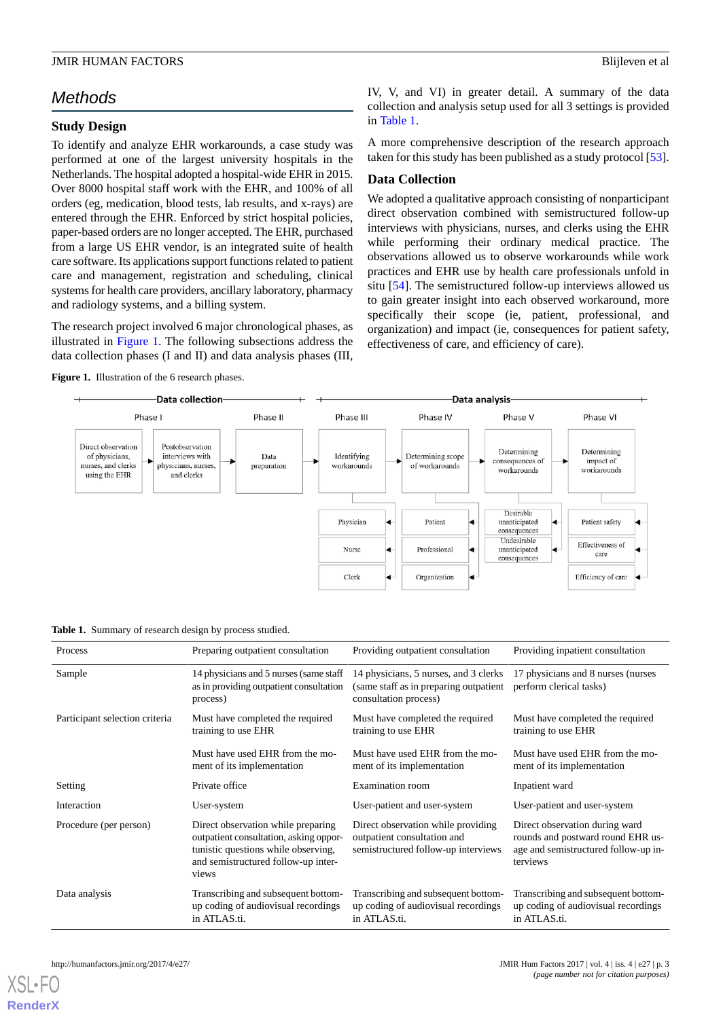# *Methods*

# **Study Design**

To identify and analyze EHR workarounds, a case study was performed at one of the largest university hospitals in the Netherlands. The hospital adopted a hospital-wide EHR in 2015. Over 8000 hospital staff work with the EHR, and 100% of all orders (eg, medication, blood tests, lab results, and x-rays) are entered through the EHR. Enforced by strict hospital policies, paper-based orders are no longer accepted. The EHR, purchased from a large US EHR vendor, is an integrated suite of health care software. Its applications support functions related to patient care and management, registration and scheduling, clinical systems for health care providers, ancillary laboratory, pharmacy and radiology systems, and a billing system.

<span id="page-2-0"></span>The research project involved 6 major chronological phases, as illustrated in [Figure 1.](#page-2-0) The following subsections address the data collection phases (I and II) and data analysis phases (III,

Figure 1. Illustration of the 6 research phases.

IV, V, and VI) in greater detail. A summary of the data collection and analysis setup used for all 3 settings is provided in [Table 1](#page-2-1).

A more comprehensive description of the research approach taken for this study has been published as a study protocol [[53\]](#page-15-12).

# **Data Collection**

We adopted a qualitative approach consisting of nonparticipant direct observation combined with semistructured follow-up interviews with physicians, nurses, and clerks using the EHR while performing their ordinary medical practice. The observations allowed us to observe workarounds while work practices and EHR use by health care professionals unfold in situ [\[54](#page-15-13)]. The semistructured follow-up interviews allowed us to gain greater insight into each observed workaround, more specifically their scope (ie, patient, professional, and organization) and impact (ie, consequences for patient safety, effectiveness of care, and efficiency of care).



<span id="page-2-1"></span>**Table 1.** Summary of research design by process studied.

| Process                        | Preparing outpatient consultation                                                                                                                                   | Providing outpatient consultation                                                                         | Providing inpatient consultation                                                                                        |
|--------------------------------|---------------------------------------------------------------------------------------------------------------------------------------------------------------------|-----------------------------------------------------------------------------------------------------------|-------------------------------------------------------------------------------------------------------------------------|
| Sample                         | 14 physicians and 5 nurses (same staff)<br>as in providing outpatient consultation<br>process)                                                                      | 14 physicians, 5 nurses, and 3 clerks<br>(same staff as in preparing outpatient)<br>consultation process) | 17 physicians and 8 nurses (nurses)<br>perform clerical tasks)                                                          |
| Participant selection criteria | Must have completed the required<br>training to use EHR                                                                                                             | Must have completed the required<br>training to use EHR                                                   | Must have completed the required<br>training to use EHR                                                                 |
|                                | Must have used EHR from the mo-<br>ment of its implementation                                                                                                       | Must have used EHR from the mo-<br>ment of its implementation                                             | Must have used EHR from the mo-<br>ment of its implementation                                                           |
| Setting                        | Private office                                                                                                                                                      | <b>Examination</b> room                                                                                   | Inpatient ward                                                                                                          |
| Interaction                    | User-system                                                                                                                                                         | User-patient and user-system                                                                              | User-patient and user-system                                                                                            |
| Procedure (per person)         | Direct observation while preparing<br>outpatient consultation, asking oppor-<br>tunistic questions while observing,<br>and semistructured follow-up inter-<br>views | Direct observation while providing<br>outpatient consultation and<br>semistructured follow-up interviews  | Direct observation during ward<br>rounds and postward round EHR us-<br>age and semistructured follow-up in-<br>terviews |
| Data analysis                  | Transcribing and subsequent bottom-<br>up coding of audiovisual recordings<br>in ATLAS.ti.                                                                          | Transcribing and subsequent bottom-<br>up coding of audiovisual recordings<br>in ATLAS.ti.                | Transcribing and subsequent bottom-<br>up coding of audiovisual recordings<br>in ATLAS.ti.                              |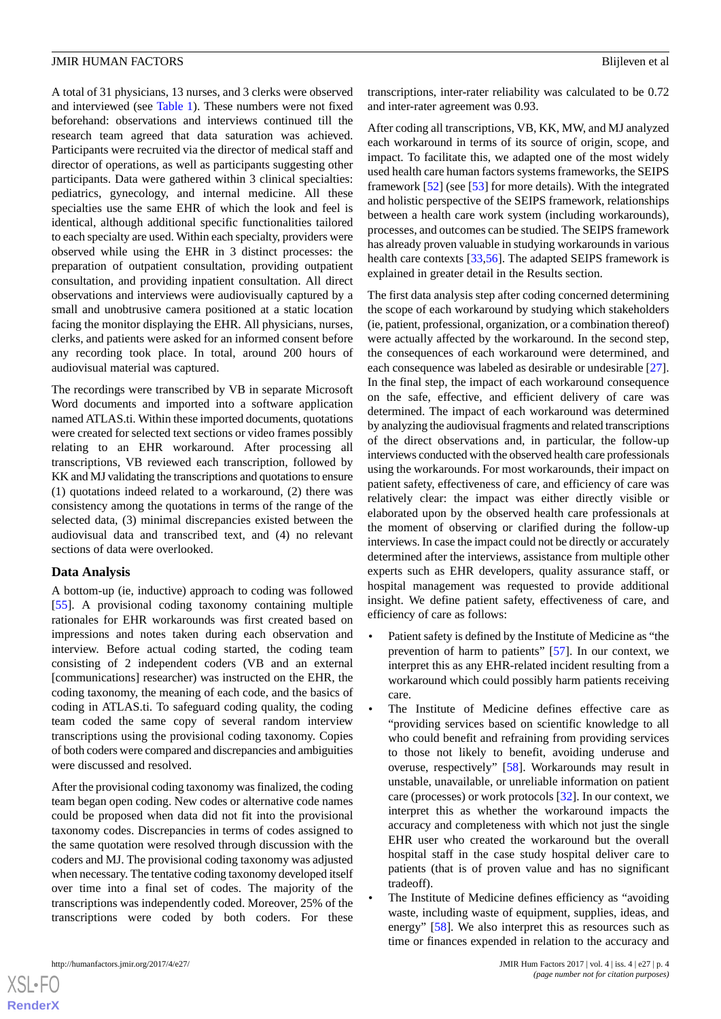A total of 31 physicians, 13 nurses, and 3 clerks were observed and interviewed (see [Table 1\)](#page-2-1). These numbers were not fixed beforehand: observations and interviews continued till the research team agreed that data saturation was achieved. Participants were recruited via the director of medical staff and director of operations, as well as participants suggesting other participants. Data were gathered within 3 clinical specialties: pediatrics, gynecology, and internal medicine. All these specialties use the same EHR of which the look and feel is identical, although additional specific functionalities tailored to each specialty are used. Within each specialty, providers were observed while using the EHR in 3 distinct processes: the preparation of outpatient consultation, providing outpatient consultation, and providing inpatient consultation. All direct observations and interviews were audiovisually captured by a small and unobtrusive camera positioned at a static location facing the monitor displaying the EHR. All physicians, nurses, clerks, and patients were asked for an informed consent before any recording took place. In total, around 200 hours of audiovisual material was captured.

The recordings were transcribed by VB in separate Microsoft Word documents and imported into a software application named ATLAS.ti. Within these imported documents, quotations were created for selected text sections or video frames possibly relating to an EHR workaround. After processing all transcriptions, VB reviewed each transcription, followed by KK and MJ validating the transcriptions and quotations to ensure (1) quotations indeed related to a workaround, (2) there was consistency among the quotations in terms of the range of the selected data, (3) minimal discrepancies existed between the audiovisual data and transcribed text, and (4) no relevant sections of data were overlooked.

# **Data Analysis**

A bottom-up (ie, inductive) approach to coding was followed [[55\]](#page-15-14). A provisional coding taxonomy containing multiple rationales for EHR workarounds was first created based on impressions and notes taken during each observation and interview. Before actual coding started, the coding team consisting of 2 independent coders (VB and an external [communications] researcher) was instructed on the EHR, the coding taxonomy, the meaning of each code, and the basics of coding in ATLAS.ti. To safeguard coding quality, the coding team coded the same copy of several random interview transcriptions using the provisional coding taxonomy. Copies of both coders were compared and discrepancies and ambiguities were discussed and resolved.

After the provisional coding taxonomy was finalized, the coding team began open coding. New codes or alternative code names could be proposed when data did not fit into the provisional taxonomy codes. Discrepancies in terms of codes assigned to the same quotation were resolved through discussion with the coders and MJ. The provisional coding taxonomy was adjusted when necessary. The tentative coding taxonomy developed itself over time into a final set of codes. The majority of the transcriptions was independently coded. Moreover, 25% of the transcriptions were coded by both coders. For these

 $XS$  $\cdot$ FC **[RenderX](http://www.renderx.com/)** After coding all transcriptions, VB, KK, MW, and MJ analyzed each workaround in terms of its source of origin, scope, and impact. To facilitate this, we adapted one of the most widely used health care human factors systems frameworks, the SEIPS framework [[52\]](#page-15-11) (see [\[53](#page-15-12)] for more details). With the integrated and holistic perspective of the SEIPS framework, relationships between a health care work system (including workarounds), processes, and outcomes can be studied. The SEIPS framework has already proven valuable in studying workarounds in various health care contexts [[33](#page-14-17)[,56](#page-16-0)]. The adapted SEIPS framework is explained in greater detail in the Results section.

The first data analysis step after coding concerned determining the scope of each workaround by studying which stakeholders (ie, patient, professional, organization, or a combination thereof) were actually affected by the workaround. In the second step, the consequences of each workaround were determined, and each consequence was labeled as desirable or undesirable [[27\]](#page-14-12). In the final step, the impact of each workaround consequence on the safe, effective, and efficient delivery of care was determined. The impact of each workaround was determined by analyzing the audiovisual fragments and related transcriptions of the direct observations and, in particular, the follow-up interviews conducted with the observed health care professionals using the workarounds. For most workarounds, their impact on patient safety, effectiveness of care, and efficiency of care was relatively clear: the impact was either directly visible or elaborated upon by the observed health care professionals at the moment of observing or clarified during the follow-up interviews. In case the impact could not be directly or accurately determined after the interviews, assistance from multiple other experts such as EHR developers, quality assurance staff, or hospital management was requested to provide additional insight. We define patient safety, effectiveness of care, and efficiency of care as follows:

- Patient safety is defined by the Institute of Medicine as "the prevention of harm to patients" [\[57](#page-16-1)]. In our context, we interpret this as any EHR-related incident resulting from a workaround which could possibly harm patients receiving care.
- The Institute of Medicine defines effective care as "providing services based on scientific knowledge to all who could benefit and refraining from providing services to those not likely to benefit, avoiding underuse and overuse, respectively" [\[58](#page-16-2)]. Workarounds may result in unstable, unavailable, or unreliable information on patient care (processes) or work protocols [[32\]](#page-14-16). In our context, we interpret this as whether the workaround impacts the accuracy and completeness with which not just the single EHR user who created the workaround but the overall hospital staff in the case study hospital deliver care to patients (that is of proven value and has no significant tradeoff).
- The Institute of Medicine defines efficiency as "avoiding" waste, including waste of equipment, supplies, ideas, and energy" [[58\]](#page-16-2). We also interpret this as resources such as time or finances expended in relation to the accuracy and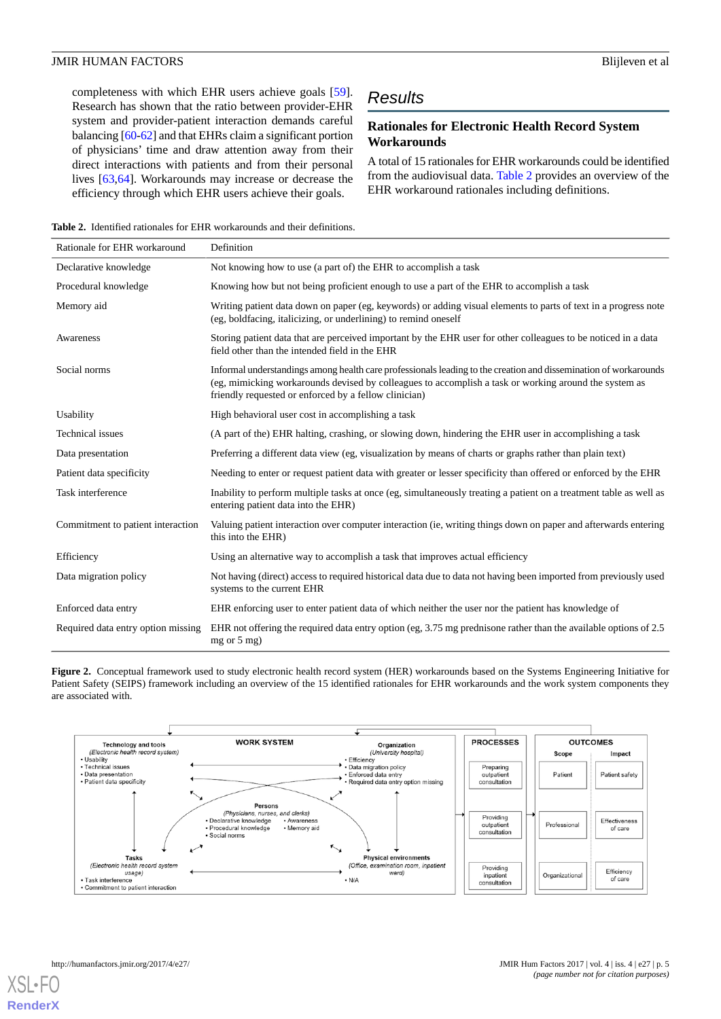completeness with which EHR users achieve goals [[59\]](#page-16-3). Research has shown that the ratio between provider-EHR system and provider-patient interaction demands careful balancing [\[60](#page-16-4)[-62](#page-16-5)] and that EHRs claim a significant portion of physicians' time and draw attention away from their direct interactions with patients and from their personal lives [[63,](#page-16-6)[64](#page-16-7)]. Workarounds may increase or decrease the efficiency through which EHR users achieve their goals.

# *Results*

# **Rationales for Electronic Health Record System Workarounds**

A total of 15 rationales for EHR workarounds could be identified from the audiovisual data. [Table 2](#page-4-0) provides an overview of the EHR workaround rationales including definitions.

<span id="page-4-0"></span>**Table 2.** Identified rationales for EHR workarounds and their definitions.

| Rationale for EHR workaround       | Definition                                                                                                                                                                                                                                                                         |
|------------------------------------|------------------------------------------------------------------------------------------------------------------------------------------------------------------------------------------------------------------------------------------------------------------------------------|
| Declarative knowledge              | Not knowing how to use (a part of) the EHR to accomplish a task                                                                                                                                                                                                                    |
| Procedural knowledge               | Knowing how but not being proficient enough to use a part of the EHR to accomplish a task                                                                                                                                                                                          |
| Memory aid                         | Writing patient data down on paper (eg, keywords) or adding visual elements to parts of text in a progress note<br>(eg, boldfacing, italicizing, or underlining) to remind oneself                                                                                                 |
| Awareness                          | Storing patient data that are perceived important by the EHR user for other colleagues to be noticed in a data<br>field other than the intended field in the EHR                                                                                                                   |
| Social norms                       | Informal understandings among health care professionals leading to the creation and dissemination of workarounds<br>(eg, mimicking workarounds devised by colleagues to accomplish a task or working around the system as<br>friendly requested or enforced by a fellow clinician) |
| Usability                          | High behavioral user cost in accomplishing a task                                                                                                                                                                                                                                  |
| Technical issues                   | (A part of the) EHR halting, crashing, or slowing down, hindering the EHR user in accomplishing a task                                                                                                                                                                             |
| Data presentation                  | Preferring a different data view (eg, visualization by means of charts or graphs rather than plain text)                                                                                                                                                                           |
| Patient data specificity           | Needing to enter or request patient data with greater or lesser specificity than offered or enforced by the EHR                                                                                                                                                                    |
| Task interference                  | Inability to perform multiple tasks at once (eg, simultaneously treating a patient on a treatment table as well as<br>entering patient data into the EHR)                                                                                                                          |
| Commitment to patient interaction  | Valuing patient interaction over computer interaction (ie, writing things down on paper and afterwards entering<br>this into the EHR)                                                                                                                                              |
| Efficiency                         | Using an alternative way to accomplish a task that improves actual efficiency                                                                                                                                                                                                      |
| Data migration policy              | Not having (direct) access to required historical data due to data not having been imported from previously used<br>systems to the current EHR                                                                                                                                     |
| Enforced data entry                | EHR enforcing user to enter patient data of which neither the user nor the patient has knowledge of                                                                                                                                                                                |
| Required data entry option missing | EHR not offering the required data entry option (eg, 3.75 mg prednisone rather than the available options of 2.5<br>$mg$ or $5$ mg)                                                                                                                                                |

<span id="page-4-1"></span>**Figure 2.** Conceptual framework used to study electronic health record system (HER) workarounds based on the Systems Engineering Initiative for Patient Safety (SEIPS) framework including an overview of the 15 identified rationales for EHR workarounds and the work system components they are associated with.

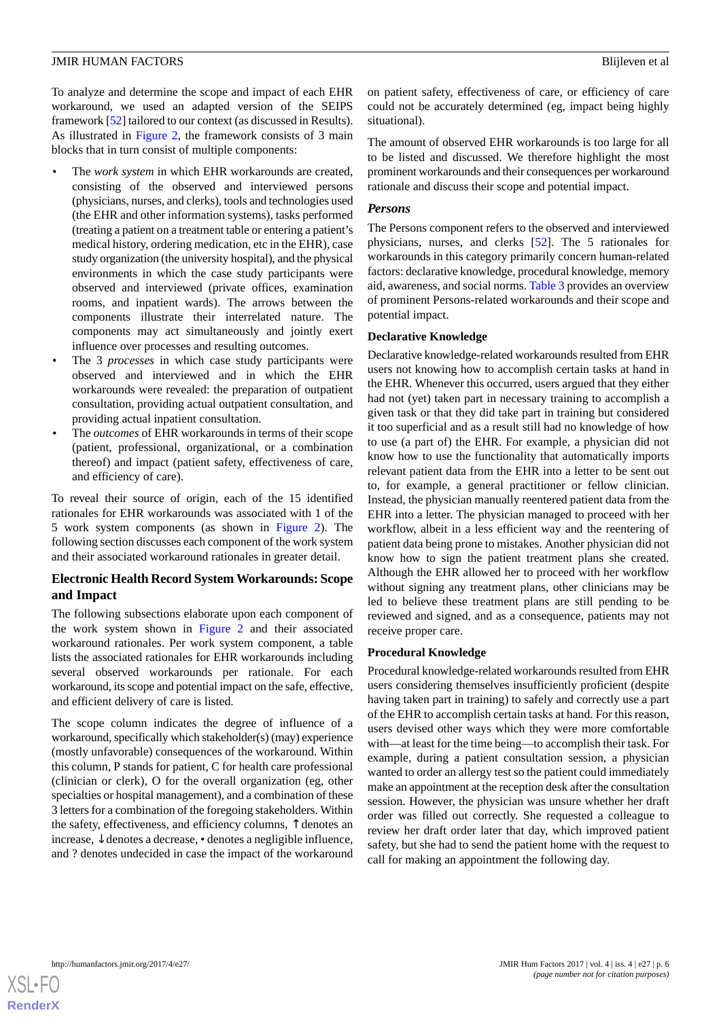To analyze and determine the scope and impact of each EHR workaround, we used an adapted version of the SEIPS framework [[52\]](#page-15-11) tailored to our context (as discussed in Results). As illustrated in [Figure 2,](#page-4-1) the framework consists of 3 main blocks that in turn consist of multiple components:

- The *work system* in which EHR workarounds are created, consisting of the observed and interviewed persons (physicians, nurses, and clerks), tools and technologies used (the EHR and other information systems), tasks performed (treating a patient on a treatment table or entering a patient's medical history, ordering medication, etc in the EHR), case study organization (the university hospital), and the physical environments in which the case study participants were observed and interviewed (private offices, examination rooms, and inpatient wards). The arrows between the components illustrate their interrelated nature. The components may act simultaneously and jointly exert influence over processes and resulting outcomes.
- The 3 *processes* in which case study participants were observed and interviewed and in which the EHR workarounds were revealed: the preparation of outpatient consultation, providing actual outpatient consultation, and providing actual inpatient consultation.
- The *outcomes* of EHR workarounds in terms of their scope (patient, professional, organizational, or a combination thereof) and impact (patient safety, effectiveness of care, and efficiency of care).

To reveal their source of origin, each of the 15 identified rationales for EHR workarounds was associated with 1 of the 5 work system components (as shown in [Figure 2\)](#page-4-1). The following section discusses each component of the work system and their associated workaround rationales in greater detail.

# **Electronic Health Record System Workarounds: Scope and Impact**

The following subsections elaborate upon each component of the work system shown in [Figure 2](#page-4-1) and their associated workaround rationales. Per work system component, a table lists the associated rationales for EHR workarounds including several observed workarounds per rationale. For each workaround, its scope and potential impact on the safe, effective, and efficient delivery of care is listed.

The scope column indicates the degree of influence of a workaround, specifically which stakeholder(s) (may) experience (mostly unfavorable) consequences of the workaround. Within this column, P stands for patient, C for health care professional (clinician or clerk), O for the overall organization (eg, other specialties or hospital management), and a combination of these 3 letters for a combination of the foregoing stakeholders. Within the safety, effectiveness, and efficiency columns, ↑ denotes an increase, ↓ denotes a decrease, • denotes a negligible influence, and ? denotes undecided in case the impact of the workaround

on patient safety, effectiveness of care, or efficiency of care could not be accurately determined (eg, impact being highly situational).

The amount of observed EHR workarounds is too large for all to be listed and discussed. We therefore highlight the most prominent workarounds and their consequences per workaround rationale and discuss their scope and potential impact.

# *Persons*

The Persons component refers to the observed and interviewed physicians, nurses, and clerks [[52\]](#page-15-11). The 5 rationales for workarounds in this category primarily concern human-related factors: declarative knowledge, procedural knowledge, memory aid, awareness, and social norms. [Table 3](#page-6-0) provides an overview of prominent Persons-related workarounds and their scope and potential impact.

# **Declarative Knowledge**

Declarative knowledge-related workarounds resulted from EHR users not knowing how to accomplish certain tasks at hand in the EHR. Whenever this occurred, users argued that they either had not (yet) taken part in necessary training to accomplish a given task or that they did take part in training but considered it too superficial and as a result still had no knowledge of how to use (a part of) the EHR. For example, a physician did not know how to use the functionality that automatically imports relevant patient data from the EHR into a letter to be sent out to, for example, a general practitioner or fellow clinician. Instead, the physician manually reentered patient data from the EHR into a letter. The physician managed to proceed with her workflow, albeit in a less efficient way and the reentering of patient data being prone to mistakes. Another physician did not know how to sign the patient treatment plans she created. Although the EHR allowed her to proceed with her workflow without signing any treatment plans, other clinicians may be led to believe these treatment plans are still pending to be reviewed and signed, and as a consequence, patients may not receive proper care.

#### **Procedural Knowledge**

Procedural knowledge-related workarounds resulted from EHR users considering themselves insufficiently proficient (despite having taken part in training) to safely and correctly use a part of the EHR to accomplish certain tasks at hand. For this reason, users devised other ways which they were more comfortable with—at least for the time being—to accomplish their task. For example, during a patient consultation session, a physician wanted to order an allergy test so the patient could immediately make an appointment at the reception desk after the consultation session. However, the physician was unsure whether her draft order was filled out correctly. She requested a colleague to review her draft order later that day, which improved patient safety, but she had to send the patient home with the request to call for making an appointment the following day.

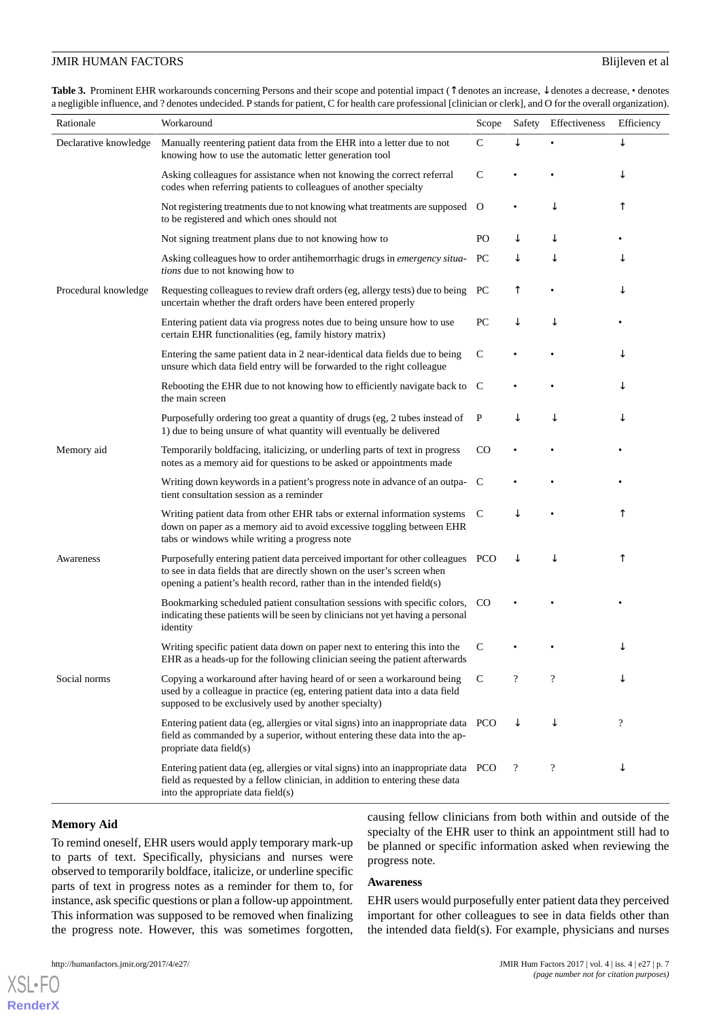<span id="page-6-0"></span>**Table 3.** Prominent EHR workarounds concerning Persons and their scope and potential impact (↑ denotes an increase, ↓ denotes a decrease, • denotes a negligible influence, and ? denotes undecided. P stands for patient, C for health care professional [clinician or clerk], and O for the overall organization).

| Rationale             | Workaround                                                                                                                                                                                                                            | Scope         | Safety                   | Effectiveness              | Efficiency     |
|-----------------------|---------------------------------------------------------------------------------------------------------------------------------------------------------------------------------------------------------------------------------------|---------------|--------------------------|----------------------------|----------------|
| Declarative knowledge | Manually reentering patient data from the EHR into a letter due to not<br>knowing how to use the automatic letter generation tool                                                                                                     | $\mathsf{C}$  |                          |                            | ↓              |
|                       | Asking colleagues for assistance when not knowing the correct referral<br>codes when referring patients to colleagues of another specialty                                                                                            | $\mathsf{C}$  |                          |                            | ↓              |
|                       | Not registering treatments due to not knowing what treatments are supposed O<br>to be registered and which ones should not                                                                                                            |               |                          | ↓                          | ↑              |
|                       | Not signing treatment plans due to not knowing how to                                                                                                                                                                                 | PO            |                          |                            |                |
|                       | Asking colleagues how to order antihemorrhagic drugs in <i>emergency situa</i> -<br>tions due to not knowing how to                                                                                                                   | PС            | ↓                        |                            | ↓              |
| Procedural knowledge  | Requesting colleagues to review draft orders (eg, allergy tests) due to being<br>uncertain whether the draft orders have been entered properly                                                                                        | PС            | ↑                        |                            | ↓              |
|                       | Entering patient data via progress notes due to being unsure how to use<br>certain EHR functionalities (eg, family history matrix)                                                                                                    | PC            | ↓                        | ↓                          |                |
|                       | Entering the same patient data in 2 near-identical data fields due to being<br>unsure which data field entry will be forwarded to the right colleague                                                                                 | $\mathsf{C}$  |                          |                            | ↓              |
|                       | Rebooting the EHR due to not knowing how to efficiently navigate back to C<br>the main screen                                                                                                                                         |               |                          |                            | ↓              |
|                       | Purposefully ordering too great a quantity of drugs (eg, 2 tubes instead of<br>1) due to being unsure of what quantity will eventually be delivered                                                                                   | $\mathbf P$   |                          | ↓                          | ↓              |
| Memory aid            | Temporarily boldfacing, italicizing, or underling parts of text in progress<br>notes as a memory aid for questions to be asked or appointments made                                                                                   | CO            |                          |                            |                |
|                       | Writing down keywords in a patient's progress note in advance of an outpa- C<br>tient consultation session as a reminder                                                                                                              |               |                          |                            |                |
|                       | Writing patient data from other EHR tabs or external information systems<br>down on paper as a memory aid to avoid excessive toggling between EHR<br>tabs or windows while writing a progress note                                    | C             | ↓                        |                            | ↑              |
| Awareness             | Purposefully entering patient data perceived important for other colleagues PCO<br>to see in data fields that are directly shown on the user's screen when<br>opening a patient's health record, rather than in the intended field(s) |               | ↓                        |                            | ↑              |
|                       | Bookmarking scheduled patient consultation sessions with specific colors,<br>indicating these patients will be seen by clinicians not yet having a personal<br>identity                                                               | <sub>CO</sub> |                          |                            |                |
|                       | Writing specific patient data down on paper next to entering this into the<br>EHR as a heads-up for the following clinician seeing the patient afterwards                                                                             | С             |                          |                            | ↓              |
| Social norms          | Copying a workaround after having heard of or seen a workaround being<br>used by a colleague in practice (eg, entering patient data into a data field<br>supposed to be exclusively used by another specialty)                        | C             | $\overline{\cdot}$       | $\boldsymbol{\mathcal{P}}$ | ↓              |
|                       | Entering patient data (eg, allergies or vital signs) into an inappropriate data PCO<br>field as commanded by a superior, without entering these data into the ap-<br>propriate data field(s)                                          |               | ↓                        | ↓                          | $\overline{?}$ |
|                       | Entering patient data (eg, allergies or vital signs) into an inappropriate data PCO<br>field as requested by a fellow clinician, in addition to entering these data<br>into the appropriate data field(s)                             |               | $\overline{\mathcal{L}}$ | $\boldsymbol{\mathcal{P}}$ | ↓              |

#### **Memory Aid**

 $XS$  • FC **[RenderX](http://www.renderx.com/)**

To remind oneself, EHR users would apply temporary mark-up to parts of text. Specifically, physicians and nurses were observed to temporarily boldface, italicize, or underline specific parts of text in progress notes as a reminder for them to, for instance, ask specific questions or plan a follow-up appointment. This information was supposed to be removed when finalizing the progress note. However, this was sometimes forgotten,

causing fellow clinicians from both within and outside of the specialty of the EHR user to think an appointment still had to be planned or specific information asked when reviewing the progress note.

#### **Awareness**

EHR users would purposefully enter patient data they perceived important for other colleagues to see in data fields other than the intended data field(s). For example, physicians and nurses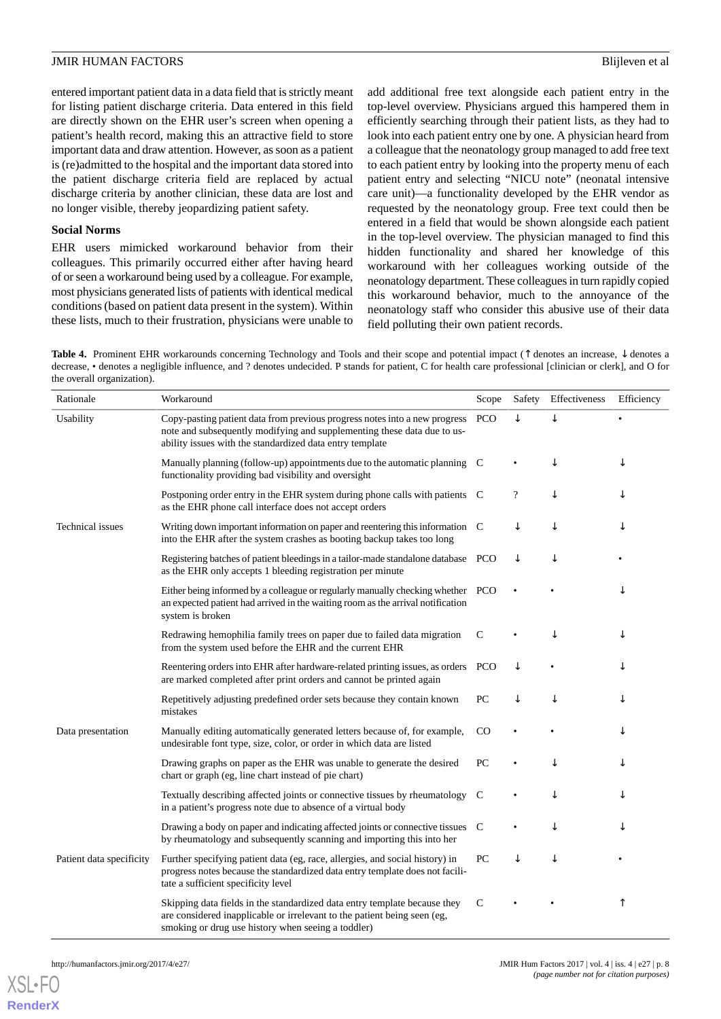entered important patient data in a data field that is strictly meant for listing patient discharge criteria. Data entered in this field are directly shown on the EHR user's screen when opening a patient's health record, making this an attractive field to store important data and draw attention. However, as soon as a patient is (re)admitted to the hospital and the important data stored into the patient discharge criteria field are replaced by actual discharge criteria by another clinician, these data are lost and no longer visible, thereby jeopardizing patient safety.

#### **Social Norms**

EHR users mimicked workaround behavior from their colleagues. This primarily occurred either after having heard of or seen a workaround being used by a colleague. For example, most physicians generated lists of patients with identical medical conditions (based on patient data present in the system). Within these lists, much to their frustration, physicians were unable to

add additional free text alongside each patient entry in the top-level overview. Physicians argued this hampered them in efficiently searching through their patient lists, as they had to look into each patient entry one by one. A physician heard from a colleague that the neonatology group managed to add free text to each patient entry by looking into the property menu of each patient entry and selecting "NICU note" (neonatal intensive care unit)—a functionality developed by the EHR vendor as requested by the neonatology group. Free text could then be entered in a field that would be shown alongside each patient in the top-level overview. The physician managed to find this hidden functionality and shared her knowledge of this workaround with her colleagues working outside of the neonatology department. These colleagues in turn rapidly copied this workaround behavior, much to the annoyance of the neonatology staff who consider this abusive use of their data field polluting their own patient records.

<span id="page-7-0"></span>**Table 4.** Prominent EHR workarounds concerning Technology and Tools and their scope and potential impact (↑ denotes an increase, ↓ denotes a decrease, • denotes a negligible influence, and ? denotes undecided. P stands for patient, C for health care professional [clinician or clerk], and O for the overall organization).

| Rationale                | Workaround                                                                                                                                                                                                        | Scope       | Safety                     | Effectiveness | Efficiency |
|--------------------------|-------------------------------------------------------------------------------------------------------------------------------------------------------------------------------------------------------------------|-------------|----------------------------|---------------|------------|
| Usability                | Copy-pasting patient data from previous progress notes into a new progress<br>note and subsequently modifying and supplementing these data due to us-<br>ability issues with the standardized data entry template | <b>PCO</b>  | ↓                          |               |            |
|                          | Manually planning (follow-up) appointments due to the automatic planning C<br>functionality providing bad visibility and oversight                                                                                |             |                            |               | ↓          |
|                          | Postponing order entry in the EHR system during phone calls with patients C<br>as the EHR phone call interface does not accept orders                                                                             |             | $\boldsymbol{\mathcal{P}}$ | ↓             | ↓          |
| Technical issues         | Writing down important information on paper and reentering this information C<br>into the EHR after the system crashes as booting backup takes too long                                                           |             | ↓                          | ↓             | ↓          |
|                          | Registering batches of patient bleedings in a tailor-made standalone database PCO<br>as the EHR only accepts 1 bleeding registration per minute                                                                   |             | ↓                          | ↓             |            |
|                          | Either being informed by a colleague or regularly manually checking whether PCO<br>an expected patient had arrived in the waiting room as the arrival notification<br>system is broken                            |             |                            |               |            |
|                          | Redrawing hemophilia family trees on paper due to failed data migration<br>from the system used before the EHR and the current EHR                                                                                | $\mathbf C$ |                            |               | ↓          |
|                          | Reentering orders into EHR after hardware-related printing issues, as orders PCO<br>are marked completed after print orders and cannot be printed again                                                           |             | ↓                          |               | ↓          |
|                          | Repetitively adjusting predefined order sets because they contain known<br>mistakes                                                                                                                               | PC          | ↓                          | ↓             | ↓          |
| Data presentation        | Manually editing automatically generated letters because of, for example,<br>undesirable font type, size, color, or order in which data are listed                                                                | $_{\rm CO}$ |                            |               | ↓          |
|                          | Drawing graphs on paper as the EHR was unable to generate the desired<br>chart or graph (eg, line chart instead of pie chart)                                                                                     | PС          |                            | ↓             |            |
|                          | Textually describing affected joints or connective tissues by rheumatology<br>in a patient's progress note due to absence of a virtual body                                                                       | C           |                            |               |            |
|                          | Drawing a body on paper and indicating affected joints or connective tissues C<br>by rheumatology and subsequently scanning and importing this into her                                                           |             |                            | ↓             |            |
| Patient data specificity | Further specifying patient data (eg, race, allergies, and social history) in<br>progress notes because the standardized data entry template does not facili-<br>tate a sufficient specificity level               | PC          | ↓                          | ↓             |            |
|                          | Skipping data fields in the standardized data entry template because they<br>are considered inapplicable or irrelevant to the patient being seen (eg,<br>smoking or drug use history when seeing a toddler)       | C           |                            |               | ↑          |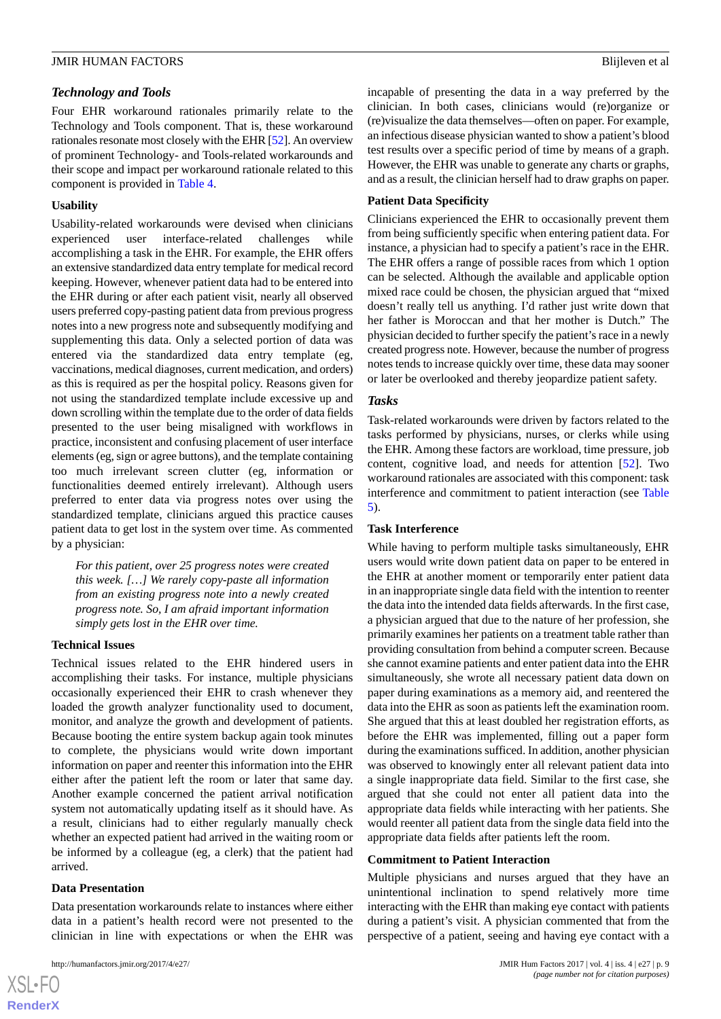# *Technology and Tools*

Four EHR workaround rationales primarily relate to the Technology and Tools component. That is, these workaround rationales resonate most closely with the EHR [[52](#page-15-11)]. An overview of prominent Technology- and Tools-related workarounds and their scope and impact per workaround rationale related to this component is provided in [Table 4](#page-7-0).

#### **Usability**

Usability-related workarounds were devised when clinicians experienced user interface-related challenges while accomplishing a task in the EHR. For example, the EHR offers an extensive standardized data entry template for medical record keeping. However, whenever patient data had to be entered into the EHR during or after each patient visit, nearly all observed users preferred copy-pasting patient data from previous progress notes into a new progress note and subsequently modifying and supplementing this data. Only a selected portion of data was entered via the standardized data entry template (eg, vaccinations, medical diagnoses, current medication, and orders) as this is required as per the hospital policy. Reasons given for not using the standardized template include excessive up and down scrolling within the template due to the order of data fields presented to the user being misaligned with workflows in practice, inconsistent and confusing placement of user interface elements (eg, sign or agree buttons), and the template containing too much irrelevant screen clutter (eg, information or functionalities deemed entirely irrelevant). Although users preferred to enter data via progress notes over using the standardized template, clinicians argued this practice causes patient data to get lost in the system over time. As commented by a physician:

*For this patient, over 25 progress notes were created this week. […] We rarely copy-paste all information from an existing progress note into a newly created progress note. So, I am afraid important information simply gets lost in the EHR over time.*

# **Technical Issues**

Technical issues related to the EHR hindered users in accomplishing their tasks. For instance, multiple physicians occasionally experienced their EHR to crash whenever they loaded the growth analyzer functionality used to document, monitor, and analyze the growth and development of patients. Because booting the entire system backup again took minutes to complete, the physicians would write down important information on paper and reenter this information into the EHR either after the patient left the room or later that same day. Another example concerned the patient arrival notification system not automatically updating itself as it should have. As a result, clinicians had to either regularly manually check whether an expected patient had arrived in the waiting room or be informed by a colleague (eg, a clerk) that the patient had arrived.

#### **Data Presentation**

 $XSI - F($ **[RenderX](http://www.renderx.com/)**

Data presentation workarounds relate to instances where either data in a patient's health record were not presented to the clinician in line with expectations or when the EHR was

incapable of presenting the data in a way preferred by the clinician. In both cases, clinicians would (re)organize or (re)visualize the data themselves—often on paper. For example, an infectious disease physician wanted to show a patient's blood test results over a specific period of time by means of a graph. However, the EHR was unable to generate any charts or graphs, and as a result, the clinician herself had to draw graphs on paper.

#### **Patient Data Specificity**

Clinicians experienced the EHR to occasionally prevent them from being sufficiently specific when entering patient data. For instance, a physician had to specify a patient's race in the EHR. The EHR offers a range of possible races from which 1 option can be selected. Although the available and applicable option mixed race could be chosen, the physician argued that "mixed doesn't really tell us anything. I'd rather just write down that her father is Moroccan and that her mother is Dutch." The physician decided to further specify the patient's race in a newly created progress note. However, because the number of progress notes tends to increase quickly over time, these data may sooner or later be overlooked and thereby jeopardize patient safety.

#### *Tasks*

Task-related workarounds were driven by factors related to the tasks performed by physicians, nurses, or clerks while using the EHR. Among these factors are workload, time pressure, job content, cognitive load, and needs for attention [\[52](#page-15-11)]. Two workaround rationales are associated with this component: task interference and commitment to patient interaction (see [Table](#page-9-0) [5\)](#page-9-0).

#### **Task Interference**

While having to perform multiple tasks simultaneously, EHR users would write down patient data on paper to be entered in the EHR at another moment or temporarily enter patient data in an inappropriate single data field with the intention to reenter the data into the intended data fields afterwards. In the first case, a physician argued that due to the nature of her profession, she primarily examines her patients on a treatment table rather than providing consultation from behind a computer screen. Because she cannot examine patients and enter patient data into the EHR simultaneously, she wrote all necessary patient data down on paper during examinations as a memory aid, and reentered the data into the EHR as soon as patients left the examination room. She argued that this at least doubled her registration efforts, as before the EHR was implemented, filling out a paper form during the examinations sufficed. In addition, another physician was observed to knowingly enter all relevant patient data into a single inappropriate data field. Similar to the first case, she argued that she could not enter all patient data into the appropriate data fields while interacting with her patients. She would reenter all patient data from the single data field into the appropriate data fields after patients left the room.

#### **Commitment to Patient Interaction**

Multiple physicians and nurses argued that they have an unintentional inclination to spend relatively more time interacting with the EHR than making eye contact with patients during a patient's visit. A physician commented that from the perspective of a patient, seeing and having eye contact with a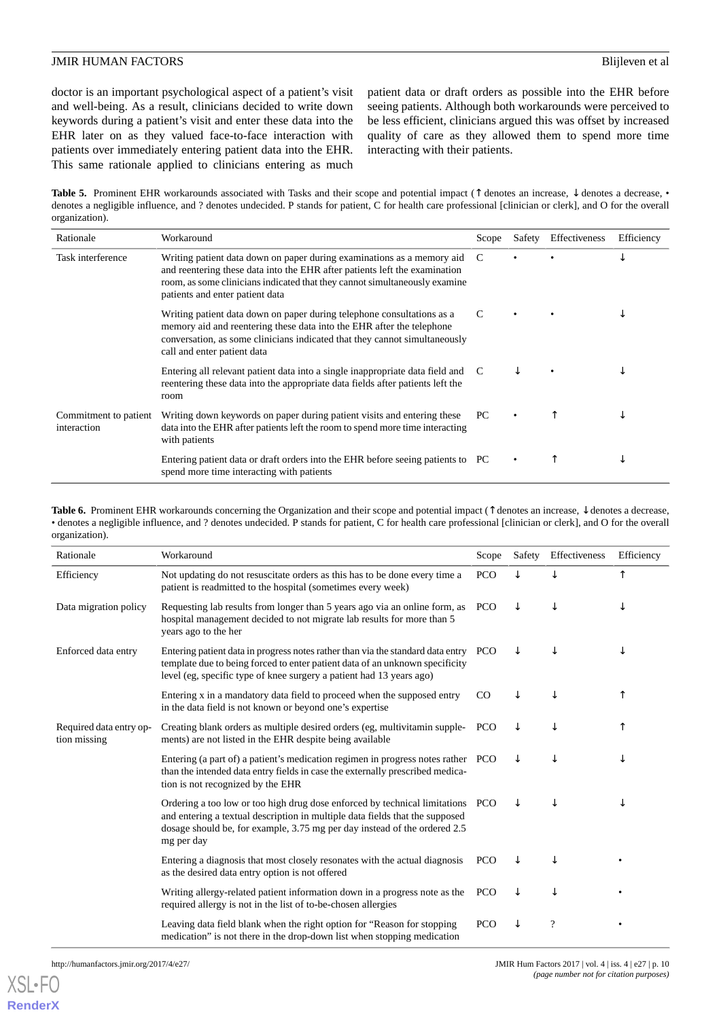doctor is an important psychological aspect of a patient's visit and well-being. As a result, clinicians decided to write down keywords during a patient's visit and enter these data into the EHR later on as they valued face-to-face interaction with patients over immediately entering patient data into the EHR. This same rationale applied to clinicians entering as much

patient data or draft orders as possible into the EHR before seeing patients. Although both workarounds were perceived to be less efficient, clinicians argued this was offset by increased quality of care as they allowed them to spend more time interacting with their patients.

<span id="page-9-0"></span>Table 5. Prominent EHR workarounds associated with Tasks and their scope and potential impact (↑ denotes an increase, ↓ denotes a decrease, • denotes a negligible influence, and ? denotes undecided. P stands for patient, C for health care professional [clinician or clerk], and O for the overall organization).

| Rationale                            | Workaround                                                                                                                                                                                                                                                            | Scope | Safety | Effectiveness | Efficiency |
|--------------------------------------|-----------------------------------------------------------------------------------------------------------------------------------------------------------------------------------------------------------------------------------------------------------------------|-------|--------|---------------|------------|
| Task interference                    | Writing patient data down on paper during examinations as a memory aid<br>and reentering these data into the EHR after patients left the examination<br>room, as some clinicians indicated that they cannot simultaneously examine<br>patients and enter patient data | C     |        |               |            |
|                                      | Writing patient data down on paper during telephone consultations as a<br>memory aid and reentering these data into the EHR after the telephone<br>conversation, as some clinicians indicated that they cannot simultaneously<br>call and enter patient data          | C     |        |               |            |
|                                      | Entering all relevant patient data into a single inappropriate data field and C<br>reentering these data into the appropriate data fields after patients left the<br>room                                                                                             |       |        |               |            |
| Commitment to patient<br>interaction | Writing down keywords on paper during patient visits and entering these<br>data into the EHR after patients left the room to spend more time interacting<br>with patients                                                                                             | PC    |        |               |            |
|                                      | Entering patient data or draft orders into the EHR before seeing patients to PC<br>spend more time interacting with patients                                                                                                                                          |       |        |               | ◡          |

<span id="page-9-1"></span>**Table 6.** Prominent EHR workarounds concerning the Organization and their scope and potential impact (↑ denotes an increase, ↓ denotes a decrease, • denotes a negligible influence, and ? denotes undecided. P stands for patient, C for health care professional [clinician or clerk], and O for the overall organization).

| Rationale                               | Workaround                                                                                                                                                                                                                                                | Scope       | Safety | Effectiveness | Efficiency |
|-----------------------------------------|-----------------------------------------------------------------------------------------------------------------------------------------------------------------------------------------------------------------------------------------------------------|-------------|--------|---------------|------------|
| Efficiency                              | Not updating do not resuscitate orders as this has to be done every time a<br>patient is readmitted to the hospital (sometimes every week)                                                                                                                | <b>PCO</b>  |        |               |            |
| Data migration policy                   | Requesting lab results from longer than 5 years ago via an online form, as<br>hospital management decided to not migrate lab results for more than 5<br>years ago to the her                                                                              | <b>PCO</b>  | ↓      |               |            |
| Enforced data entry                     | Entering patient data in progress notes rather than via the standard data entry PCO<br>template due to being forced to enter patient data of an unknown specificity<br>level (eg, specific type of knee surgery a patient had 13 years ago)               |             | J      |               | ↓          |
|                                         | Entering x in a mandatory data field to proceed when the supposed entry<br>in the data field is not known or beyond one's expertise                                                                                                                       | $_{\rm CO}$ |        |               |            |
| Required data entry op-<br>tion missing | Creating blank orders as multiple desired orders (eg, multivitamin supple-<br>ments) are not listed in the EHR despite being available                                                                                                                    | <b>PCO</b>  | ↓      |               |            |
|                                         | Entering (a part of) a patient's medication regimen in progress notes rather PCO<br>than the intended data entry fields in case the externally prescribed medica-<br>tion is not recognized by the EHR                                                    |             | ↓      |               | ↓          |
|                                         | Ordering a too low or too high drug dose enforced by technical limitations PCO<br>and entering a textual description in multiple data fields that the supposed<br>dosage should be, for example, 3.75 mg per day instead of the ordered 2.5<br>mg per day |             | ↓      |               | ↓          |
|                                         | Entering a diagnosis that most closely resonates with the actual diagnosis<br>as the desired data entry option is not offered                                                                                                                             | <b>PCO</b>  | ↓      |               |            |
|                                         | Writing allergy-related patient information down in a progress note as the<br>required allergy is not in the list of to-be-chosen allergies                                                                                                               | <b>PCO</b>  | ↓      |               |            |
|                                         | Leaving data field blank when the right option for "Reason for stopping"<br>medication" is not there in the drop-down list when stopping medication                                                                                                       | <b>PCO</b>  |        | $\gamma$      |            |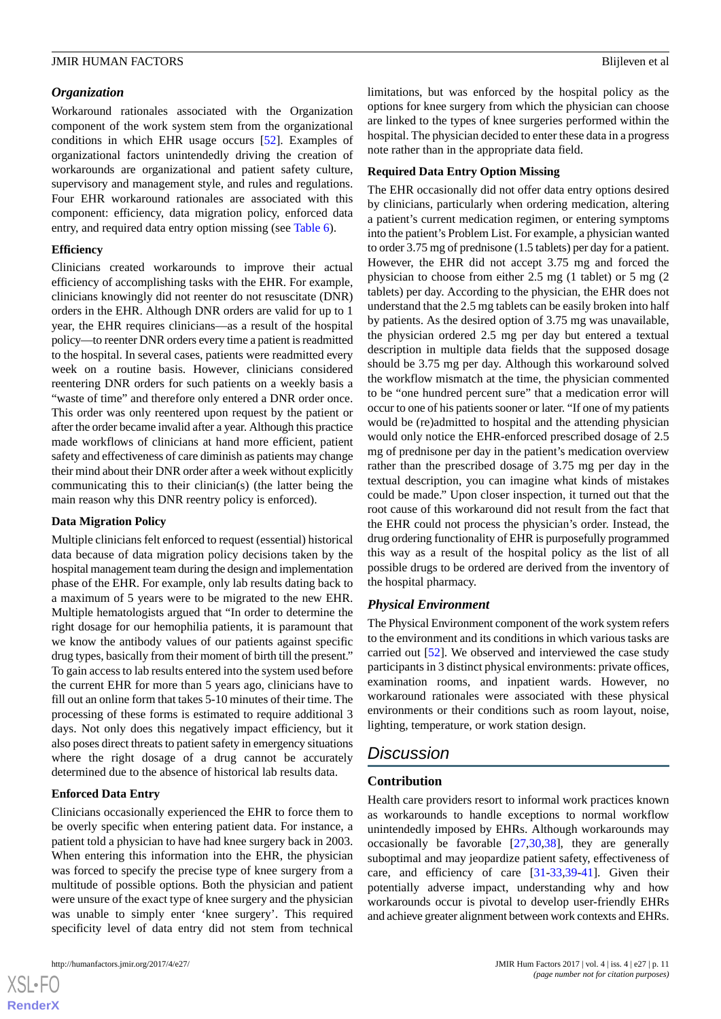# *Organization*

Workaround rationales associated with the Organization component of the work system stem from the organizational conditions in which EHR usage occurs [\[52](#page-15-11)]. Examples of organizational factors unintendedly driving the creation of workarounds are organizational and patient safety culture, supervisory and management style, and rules and regulations. Four EHR workaround rationales are associated with this component: efficiency, data migration policy, enforced data entry, and required data entry option missing (see [Table 6](#page-9-1)).

# **Efficiency**

Clinicians created workarounds to improve their actual efficiency of accomplishing tasks with the EHR. For example, clinicians knowingly did not reenter do not resuscitate (DNR) orders in the EHR. Although DNR orders are valid for up to 1 year, the EHR requires clinicians—as a result of the hospital policy—to reenter DNR orders every time a patient is readmitted to the hospital. In several cases, patients were readmitted every week on a routine basis. However, clinicians considered reentering DNR orders for such patients on a weekly basis a "waste of time" and therefore only entered a DNR order once. This order was only reentered upon request by the patient or after the order became invalid after a year. Although this practice made workflows of clinicians at hand more efficient, patient safety and effectiveness of care diminish as patients may change their mind about their DNR order after a week without explicitly communicating this to their clinician(s) (the latter being the main reason why this DNR reentry policy is enforced).

# **Data Migration Policy**

Multiple clinicians felt enforced to request (essential) historical data because of data migration policy decisions taken by the hospital management team during the design and implementation phase of the EHR. For example, only lab results dating back to a maximum of 5 years were to be migrated to the new EHR. Multiple hematologists argued that "In order to determine the right dosage for our hemophilia patients, it is paramount that we know the antibody values of our patients against specific drug types, basically from their moment of birth till the present." To gain access to lab results entered into the system used before the current EHR for more than 5 years ago, clinicians have to fill out an online form that takes 5-10 minutes of their time. The processing of these forms is estimated to require additional 3 days. Not only does this negatively impact efficiency, but it also poses direct threats to patient safety in emergency situations where the right dosage of a drug cannot be accurately determined due to the absence of historical lab results data.

# **Enforced Data Entry**

Clinicians occasionally experienced the EHR to force them to be overly specific when entering patient data. For instance, a patient told a physician to have had knee surgery back in 2003. When entering this information into the EHR, the physician was forced to specify the precise type of knee surgery from a multitude of possible options. Both the physician and patient were unsure of the exact type of knee surgery and the physician was unable to simply enter 'knee surgery'. This required specificity level of data entry did not stem from technical

limitations, but was enforced by the hospital policy as the options for knee surgery from which the physician can choose are linked to the types of knee surgeries performed within the hospital. The physician decided to enter these data in a progress note rather than in the appropriate data field.

# **Required Data Entry Option Missing**

The EHR occasionally did not offer data entry options desired by clinicians, particularly when ordering medication, altering a patient's current medication regimen, or entering symptoms into the patient's Problem List. For example, a physician wanted to order 3.75 mg of prednisone (1.5 tablets) per day for a patient. However, the EHR did not accept 3.75 mg and forced the physician to choose from either 2.5 mg (1 tablet) or 5 mg (2 tablets) per day. According to the physician, the EHR does not understand that the 2.5 mg tablets can be easily broken into half by patients. As the desired option of 3.75 mg was unavailable, the physician ordered 2.5 mg per day but entered a textual description in multiple data fields that the supposed dosage should be 3.75 mg per day. Although this workaround solved the workflow mismatch at the time, the physician commented to be "one hundred percent sure" that a medication error will occur to one of his patients sooner or later. "If one of my patients would be (re)admitted to hospital and the attending physician would only notice the EHR-enforced prescribed dosage of 2.5 mg of prednisone per day in the patient's medication overview rather than the prescribed dosage of 3.75 mg per day in the textual description, you can imagine what kinds of mistakes could be made." Upon closer inspection, it turned out that the root cause of this workaround did not result from the fact that the EHR could not process the physician's order. Instead, the drug ordering functionality of EHR is purposefully programmed this way as a result of the hospital policy as the list of all possible drugs to be ordered are derived from the inventory of the hospital pharmacy.

# *Physical Environment*

The Physical Environment component of the work system refers to the environment and its conditions in which various tasks are carried out [[52\]](#page-15-11). We observed and interviewed the case study participants in 3 distinct physical environments: private offices, examination rooms, and inpatient wards. However, no workaround rationales were associated with these physical environments or their conditions such as room layout, noise, lighting, temperature, or work station design.

# *Discussion*

# **Contribution**

Health care providers resort to informal work practices known as workarounds to handle exceptions to normal workflow unintendedly imposed by EHRs. Although workarounds may occasionally be favorable [\[27](#page-14-12)[,30](#page-14-14),[38\]](#page-15-2), they are generally suboptimal and may jeopardize patient safety, effectiveness of care, and efficiency of care [[31](#page-14-15)[-33](#page-14-17),[39-](#page-15-3)[41](#page-15-5)]. Given their potentially adverse impact, understanding why and how workarounds occur is pivotal to develop user-friendly EHRs and achieve greater alignment between work contexts and EHRs.

 $XS$  $\cdot$ FC **[RenderX](http://www.renderx.com/)**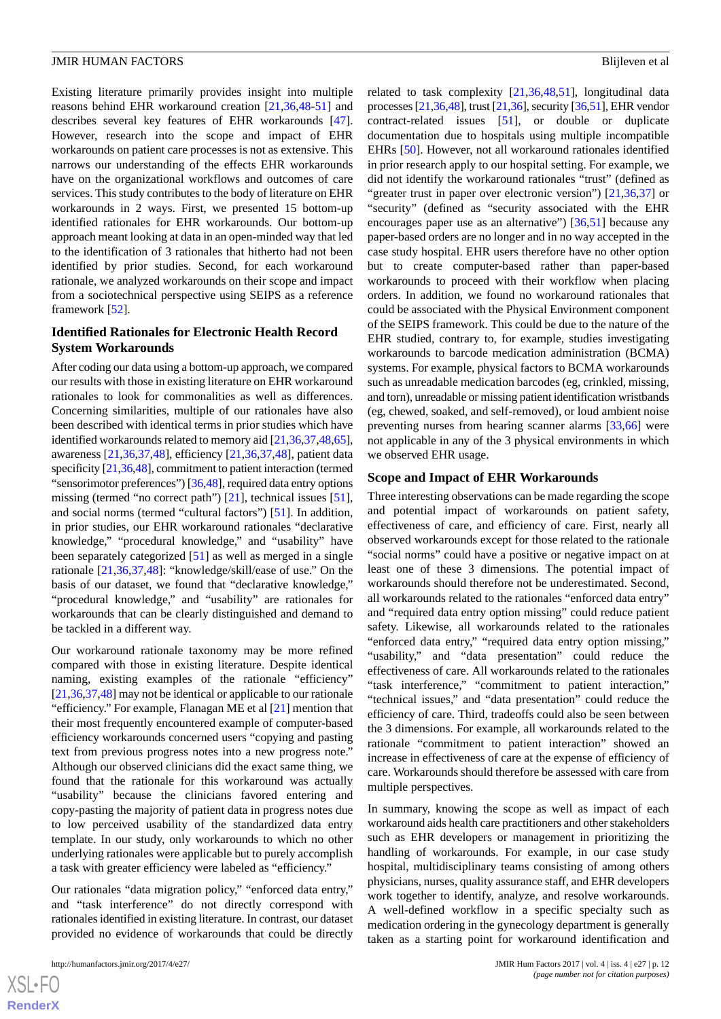Existing literature primarily provides insight into multiple reasons behind EHR workaround creation [[21](#page-14-8)[,36](#page-15-6),[48](#page-15-9)[-51](#page-15-10)] and describes several key features of EHR workarounds [[47\]](#page-15-8). However, research into the scope and impact of EHR workarounds on patient care processes is not as extensive. This narrows our understanding of the effects EHR workarounds have on the organizational workflows and outcomes of care services. This study contributes to the body of literature on EHR workarounds in 2 ways. First, we presented 15 bottom-up identified rationales for EHR workarounds. Our bottom-up approach meant looking at data in an open-minded way that led to the identification of 3 rationales that hitherto had not been identified by prior studies. Second, for each workaround rationale, we analyzed workarounds on their scope and impact from a sociotechnical perspective using SEIPS as a reference framework [[52\]](#page-15-11).

# **Identified Rationales for Electronic Health Record System Workarounds**

After coding our data using a bottom-up approach, we compared our results with those in existing literature on EHR workaround rationales to look for commonalities as well as differences. Concerning similarities, multiple of our rationales have also been described with identical terms in prior studies which have identified workarounds related to memory aid [\[21](#page-14-8),[36](#page-15-6)[,37](#page-15-1),[48,](#page-15-9)[65\]](#page-16-8), awareness [\[21](#page-14-8),[36,](#page-15-6)[37](#page-15-1)[,48](#page-15-9)], efficiency [[21,](#page-14-8)[36](#page-15-6),[37,](#page-15-1)[48](#page-15-9)], patient data specificity [[21](#page-14-8),[36,](#page-15-6)[48\]](#page-15-9), commitment to patient interaction (termed "sensorimotor preferences") [\[36](#page-15-6)[,48](#page-15-9)], required data entry options missing (termed "no correct path") [[21\]](#page-14-8), technical issues [[51\]](#page-15-10), and social norms (termed "cultural factors") [\[51](#page-15-10)]. In addition, in prior studies, our EHR workaround rationales "declarative knowledge," "procedural knowledge," and "usability" have been separately categorized [\[51](#page-15-10)] as well as merged in a single rationale [[21,](#page-14-8)[36](#page-15-6),[37,](#page-15-1)[48](#page-15-9)]: "knowledge/skill/ease of use." On the basis of our dataset, we found that "declarative knowledge," "procedural knowledge," and "usability" are rationales for workarounds that can be clearly distinguished and demand to be tackled in a different way.

Our workaround rationale taxonomy may be more refined compared with those in existing literature. Despite identical naming, existing examples of the rationale "efficiency" [[21,](#page-14-8)[36](#page-15-6),[37](#page-15-1),[48\]](#page-15-9) may not be identical or applicable to our rationale "efficiency." For example, Flanagan ME et al [\[21](#page-14-8)] mention that their most frequently encountered example of computer-based efficiency workarounds concerned users "copying and pasting text from previous progress notes into a new progress note." Although our observed clinicians did the exact same thing, we found that the rationale for this workaround was actually "usability" because the clinicians favored entering and copy-pasting the majority of patient data in progress notes due to low perceived usability of the standardized data entry template. In our study, only workarounds to which no other underlying rationales were applicable but to purely accomplish a task with greater efficiency were labeled as "efficiency."

Our rationales "data migration policy," "enforced data entry," and "task interference" do not directly correspond with rationales identified in existing literature. In contrast, our dataset provided no evidence of workarounds that could be directly

related to task complexity [[21](#page-14-8)[,36](#page-15-6),[48](#page-15-9)[,51](#page-15-10)], longitudinal data processes [\[21,](#page-14-8)[36](#page-15-6)[,48\]](#page-15-9), trust [[21,](#page-14-8)[36\]](#page-15-6), security [\[36,](#page-15-6)[51\]](#page-15-10), EHR vendor contract-related issues [\[51](#page-15-10)], or double or duplicate documentation due to hospitals using multiple incompatible EHRs [[50\]](#page-15-15). However, not all workaround rationales identified in prior research apply to our hospital setting. For example, we did not identify the workaround rationales "trust" (defined as "greater trust in paper over electronic version") [[21](#page-14-8)[,36](#page-15-6),[37\]](#page-15-1) or "security" (defined as "security associated with the EHR encourages paper use as an alternative") [\[36](#page-15-6),[51\]](#page-15-10) because any paper-based orders are no longer and in no way accepted in the case study hospital. EHR users therefore have no other option but to create computer-based rather than paper-based workarounds to proceed with their workflow when placing orders. In addition, we found no workaround rationales that could be associated with the Physical Environment component of the SEIPS framework. This could be due to the nature of the EHR studied, contrary to, for example, studies investigating workarounds to barcode medication administration (BCMA) systems. For example, physical factors to BCMA workarounds such as unreadable medication barcodes (eg, crinkled, missing, and torn), unreadable or missing patient identification wristbands (eg, chewed, soaked, and self-removed), or loud ambient noise preventing nurses from hearing scanner alarms [[33](#page-14-17)[,66](#page-16-9)] were not applicable in any of the 3 physical environments in which we observed EHR usage.

#### **Scope and Impact of EHR Workarounds**

Three interesting observations can be made regarding the scope and potential impact of workarounds on patient safety, effectiveness of care, and efficiency of care. First, nearly all observed workarounds except for those related to the rationale "social norms" could have a positive or negative impact on at least one of these 3 dimensions. The potential impact of workarounds should therefore not be underestimated. Second, all workarounds related to the rationales "enforced data entry" and "required data entry option missing" could reduce patient safety. Likewise, all workarounds related to the rationales "enforced data entry," "required data entry option missing," "usability," and "data presentation" could reduce the effectiveness of care. All workarounds related to the rationales "task interference," "commitment to patient interaction," "technical issues," and "data presentation" could reduce the efficiency of care. Third, tradeoffs could also be seen between the 3 dimensions. For example, all workarounds related to the rationale "commitment to patient interaction" showed an increase in effectiveness of care at the expense of efficiency of care. Workarounds should therefore be assessed with care from multiple perspectives.

In summary, knowing the scope as well as impact of each workaround aids health care practitioners and other stakeholders such as EHR developers or management in prioritizing the handling of workarounds. For example, in our case study hospital, multidisciplinary teams consisting of among others physicians, nurses, quality assurance staff, and EHR developers work together to identify, analyze, and resolve workarounds. A well-defined workflow in a specific specialty such as medication ordering in the gynecology department is generally taken as a starting point for workaround identification and

 $XS$  $\cdot$ FC **[RenderX](http://www.renderx.com/)**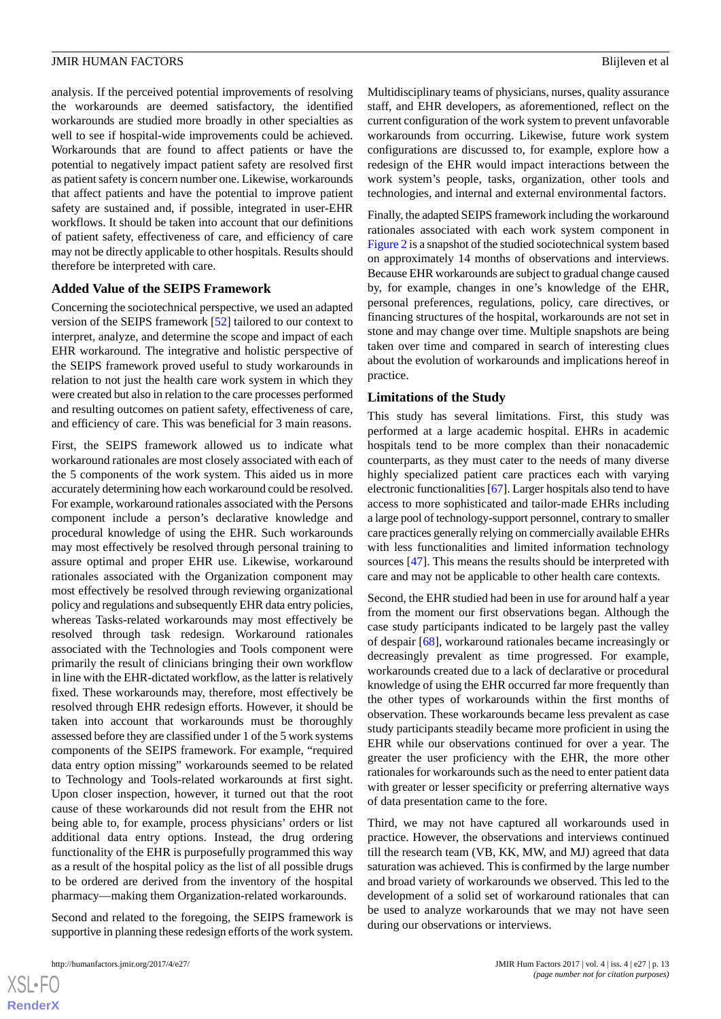analysis. If the perceived potential improvements of resolving the workarounds are deemed satisfactory, the identified workarounds are studied more broadly in other specialties as well to see if hospital-wide improvements could be achieved. Workarounds that are found to affect patients or have the potential to negatively impact patient safety are resolved first as patient safety is concern number one. Likewise, workarounds that affect patients and have the potential to improve patient safety are sustained and, if possible, integrated in user-EHR workflows. It should be taken into account that our definitions of patient safety, effectiveness of care, and efficiency of care may not be directly applicable to other hospitals. Results should therefore be interpreted with care.

#### **Added Value of the SEIPS Framework**

Concerning the sociotechnical perspective, we used an adapted version of the SEIPS framework [[52\]](#page-15-11) tailored to our context to interpret, analyze, and determine the scope and impact of each EHR workaround. The integrative and holistic perspective of the SEIPS framework proved useful to study workarounds in relation to not just the health care work system in which they were created but also in relation to the care processes performed and resulting outcomes on patient safety, effectiveness of care, and efficiency of care. This was beneficial for 3 main reasons.

First, the SEIPS framework allowed us to indicate what workaround rationales are most closely associated with each of the 5 components of the work system. This aided us in more accurately determining how each workaround could be resolved. For example, workaround rationales associated with the Persons component include a person's declarative knowledge and procedural knowledge of using the EHR. Such workarounds may most effectively be resolved through personal training to assure optimal and proper EHR use. Likewise, workaround rationales associated with the Organization component may most effectively be resolved through reviewing organizational policy and regulations and subsequently EHR data entry policies, whereas Tasks-related workarounds may most effectively be resolved through task redesign. Workaround rationales associated with the Technologies and Tools component were primarily the result of clinicians bringing their own workflow in line with the EHR-dictated workflow, as the latter is relatively fixed. These workarounds may, therefore, most effectively be resolved through EHR redesign efforts. However, it should be taken into account that workarounds must be thoroughly assessed before they are classified under 1 of the 5 work systems components of the SEIPS framework. For example, "required data entry option missing" workarounds seemed to be related to Technology and Tools-related workarounds at first sight. Upon closer inspection, however, it turned out that the root cause of these workarounds did not result from the EHR not being able to, for example, process physicians' orders or list additional data entry options. Instead, the drug ordering functionality of the EHR is purposefully programmed this way as a result of the hospital policy as the list of all possible drugs to be ordered are derived from the inventory of the hospital pharmacy—making them Organization-related workarounds.

Second and related to the foregoing, the SEIPS framework is supportive in planning these redesign efforts of the work system.

Multidisciplinary teams of physicians, nurses, quality assurance staff, and EHR developers, as aforementioned, reflect on the current configuration of the work system to prevent unfavorable workarounds from occurring. Likewise, future work system configurations are discussed to, for example, explore how a redesign of the EHR would impact interactions between the work system's people, tasks, organization, other tools and technologies, and internal and external environmental factors.

Finally, the adapted SEIPS framework including the workaround rationales associated with each work system component in [Figure 2](#page-4-1) is a snapshot of the studied sociotechnical system based on approximately 14 months of observations and interviews. Because EHR workarounds are subject to gradual change caused by, for example, changes in one's knowledge of the EHR, personal preferences, regulations, policy, care directives, or financing structures of the hospital, workarounds are not set in stone and may change over time. Multiple snapshots are being taken over time and compared in search of interesting clues about the evolution of workarounds and implications hereof in practice.

#### **Limitations of the Study**

This study has several limitations. First, this study was performed at a large academic hospital. EHRs in academic hospitals tend to be more complex than their nonacademic counterparts, as they must cater to the needs of many diverse highly specialized patient care practices each with varying electronic functionalities [[67\]](#page-16-10). Larger hospitals also tend to have access to more sophisticated and tailor-made EHRs including a large pool of technology-support personnel, contrary to smaller care practices generally relying on commercially available EHRs with less functionalities and limited information technology sources [\[47](#page-15-8)]. This means the results should be interpreted with care and may not be applicable to other health care contexts.

Second, the EHR studied had been in use for around half a year from the moment our first observations began. Although the case study participants indicated to be largely past the valley of despair [\[68](#page-16-11)], workaround rationales became increasingly or decreasingly prevalent as time progressed. For example, workarounds created due to a lack of declarative or procedural knowledge of using the EHR occurred far more frequently than the other types of workarounds within the first months of observation. These workarounds became less prevalent as case study participants steadily became more proficient in using the EHR while our observations continued for over a year. The greater the user proficiency with the EHR, the more other rationales for workarounds such as the need to enter patient data with greater or lesser specificity or preferring alternative ways of data presentation came to the fore.

Third, we may not have captured all workarounds used in practice. However, the observations and interviews continued till the research team (VB, KK, MW, and MJ) agreed that data saturation was achieved. This is confirmed by the large number and broad variety of workarounds we observed. This led to the development of a solid set of workaround rationales that can be used to analyze workarounds that we may not have seen during our observations or interviews.

 $XSI - F($ **[RenderX](http://www.renderx.com/)**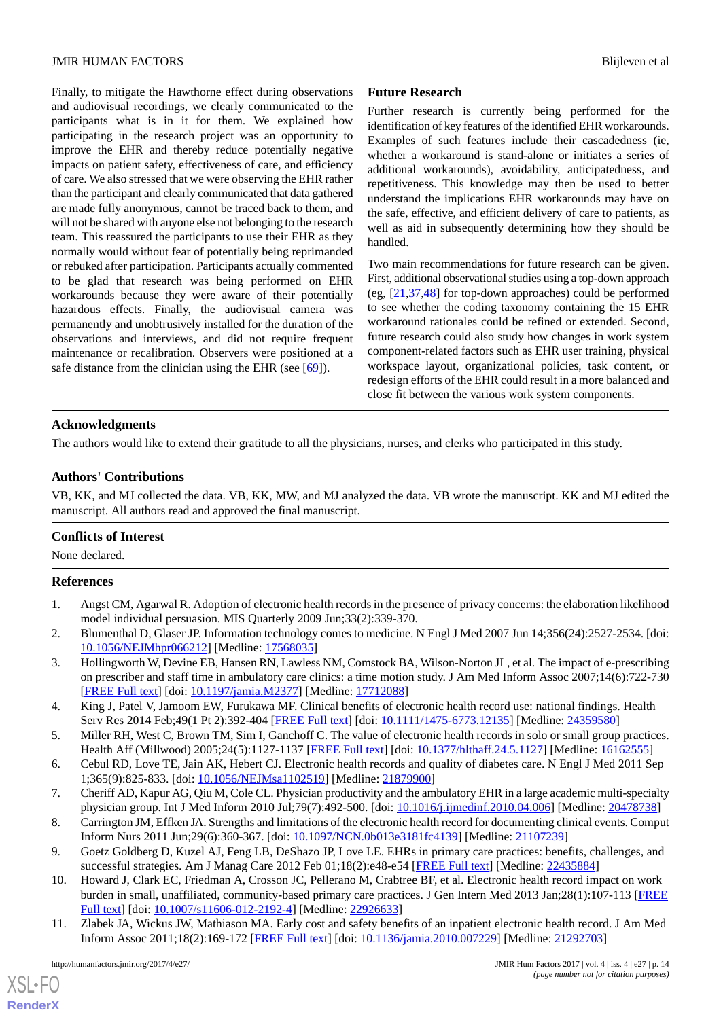Finally, to mitigate the Hawthorne effect during observations and audiovisual recordings, we clearly communicated to the participants what is in it for them. We explained how participating in the research project was an opportunity to improve the EHR and thereby reduce potentially negative impacts on patient safety, effectiveness of care, and efficiency of care. We also stressed that we were observing the EHR rather than the participant and clearly communicated that data gathered are made fully anonymous, cannot be traced back to them, and will not be shared with anyone else not belonging to the research team. This reassured the participants to use their EHR as they normally would without fear of potentially being reprimanded or rebuked after participation. Participants actually commented to be glad that research was being performed on EHR workarounds because they were aware of their potentially hazardous effects. Finally, the audiovisual camera was permanently and unobtrusively installed for the duration of the observations and interviews, and did not require frequent maintenance or recalibration. Observers were positioned at a safe distance from the clinician using the EHR (see [\[69](#page-16-12)]).

# **Future Research**

Further research is currently being performed for the identification of key features of the identified EHR workarounds. Examples of such features include their cascadedness (ie, whether a workaround is stand-alone or initiates a series of additional workarounds), avoidability, anticipatedness, and repetitiveness. This knowledge may then be used to better understand the implications EHR workarounds may have on the safe, effective, and efficient delivery of care to patients, as well as aid in subsequently determining how they should be handled.

Two main recommendations for future research can be given. First, additional observational studies using a top-down approach (eg, [\[21](#page-14-8),[37,](#page-15-1)[48](#page-15-9)] for top-down approaches) could be performed to see whether the coding taxonomy containing the 15 EHR workaround rationales could be refined or extended. Second, future research could also study how changes in work system component-related factors such as EHR user training, physical workspace layout, organizational policies, task content, or redesign efforts of the EHR could result in a more balanced and close fit between the various work system components.

# **Acknowledgments**

The authors would like to extend their gratitude to all the physicians, nurses, and clerks who participated in this study.

# **Authors' Contributions**

VB, KK, and MJ collected the data. VB, KK, MW, and MJ analyzed the data. VB wrote the manuscript. KK and MJ edited the manuscript. All authors read and approved the final manuscript.

# <span id="page-13-0"></span>**Conflicts of Interest**

None declared.

# <span id="page-13-1"></span>**References**

- 1. Angst CM, Agarwal R. Adoption of electronic health records in the presence of privacy concerns: the elaboration likelihood model individual persuasion. MIS Quarterly 2009 Jun;33(2):339-370.
- <span id="page-13-2"></span>2. Blumenthal D, Glaser JP. Information technology comes to medicine. N Engl J Med 2007 Jun 14;356(24):2527-2534. [doi: [10.1056/NEJMhpr066212](http://dx.doi.org/10.1056/NEJMhpr066212)] [Medline: [17568035](http://www.ncbi.nlm.nih.gov/entrez/query.fcgi?cmd=Retrieve&db=PubMed&list_uids=17568035&dopt=Abstract)]
- 3. Hollingworth W, Devine EB, Hansen RN, Lawless NM, Comstock BA, Wilson-Norton JL, et al. The impact of e-prescribing on prescriber and staff time in ambulatory care clinics: a time motion study. J Am Med Inform Assoc 2007;14(6):722-730 [[FREE Full text](http://jamia.oxfordjournals.org/cgi/pmidlookup?view=long&pmid=17712088)] [doi: [10.1197/jamia.M2377](http://dx.doi.org/10.1197/jamia.M2377)] [Medline: [17712088](http://www.ncbi.nlm.nih.gov/entrez/query.fcgi?cmd=Retrieve&db=PubMed&list_uids=17712088&dopt=Abstract)]
- <span id="page-13-4"></span><span id="page-13-3"></span>4. King J, Patel V, Jamoom EW, Furukawa MF. Clinical benefits of electronic health record use: national findings. Health Serv Res 2014 Feb;49(1 Pt 2):392-404 [\[FREE Full text\]](http://europepmc.org/abstract/MED/24359580) [doi: [10.1111/1475-6773.12135\]](http://dx.doi.org/10.1111/1475-6773.12135) [Medline: [24359580\]](http://www.ncbi.nlm.nih.gov/entrez/query.fcgi?cmd=Retrieve&db=PubMed&list_uids=24359580&dopt=Abstract)
- 5. Miller RH, West C, Brown TM, Sim I, Ganchoff C. The value of electronic health records in solo or small group practices. Health Aff (Millwood) 2005;24(5):1127-1137 [[FREE Full text](http://content.healthaffairs.org/cgi/pmidlookup?view=long&pmid=16162555)] [doi: [10.1377/hlthaff.24.5.1127](http://dx.doi.org/10.1377/hlthaff.24.5.1127)] [Medline: [16162555](http://www.ncbi.nlm.nih.gov/entrez/query.fcgi?cmd=Retrieve&db=PubMed&list_uids=16162555&dopt=Abstract)]
- 6. Cebul RD, Love TE, Jain AK, Hebert CJ. Electronic health records and quality of diabetes care. N Engl J Med 2011 Sep 1;365(9):825-833. [doi: [10.1056/NEJMsa1102519](http://dx.doi.org/10.1056/NEJMsa1102519)] [Medline: [21879900\]](http://www.ncbi.nlm.nih.gov/entrez/query.fcgi?cmd=Retrieve&db=PubMed&list_uids=21879900&dopt=Abstract)
- <span id="page-13-5"></span>7. Cheriff AD, Kapur AG, Qiu M, Cole CL. Physician productivity and the ambulatory EHR in a large academic multi-specialty physician group. Int J Med Inform 2010 Jul;79(7):492-500. [doi: [10.1016/j.ijmedinf.2010.04.006\]](http://dx.doi.org/10.1016/j.ijmedinf.2010.04.006) [Medline: [20478738\]](http://www.ncbi.nlm.nih.gov/entrez/query.fcgi?cmd=Retrieve&db=PubMed&list_uids=20478738&dopt=Abstract)
- <span id="page-13-6"></span>8. Carrington JM, Effken JA. Strengths and limitations of the electronic health record for documenting clinical events. Comput Inform Nurs 2011 Jun;29(6):360-367. [doi: [10.1097/NCN.0b013e3181fc4139](http://dx.doi.org/10.1097/NCN.0b013e3181fc4139)] [Medline: [21107239\]](http://www.ncbi.nlm.nih.gov/entrez/query.fcgi?cmd=Retrieve&db=PubMed&list_uids=21107239&dopt=Abstract)
- 9. Goetz Goldberg D, Kuzel AJ, Feng LB, DeShazo JP, Love LE. EHRs in primary care practices: benefits, challenges, and successful strategies. Am J Manag Care 2012 Feb 01;18(2):e48-e54 [[FREE Full text\]](http://www.ajmc.com/pubMed.php?pii=43603) [Medline: [22435884\]](http://www.ncbi.nlm.nih.gov/entrez/query.fcgi?cmd=Retrieve&db=PubMed&list_uids=22435884&dopt=Abstract)
- 10. Howard J, Clark EC, Friedman A, Crosson JC, Pellerano M, Crabtree BF, et al. Electronic health record impact on work burden in small, unaffiliated, community-based primary care practices. J Gen Intern Med 2013 Jan;28(1):107-113 [\[FREE](http://europepmc.org/abstract/MED/22926633) [Full text\]](http://europepmc.org/abstract/MED/22926633) [doi: [10.1007/s11606-012-2192-4](http://dx.doi.org/10.1007/s11606-012-2192-4)] [Medline: [22926633](http://www.ncbi.nlm.nih.gov/entrez/query.fcgi?cmd=Retrieve&db=PubMed&list_uids=22926633&dopt=Abstract)]
- 11. Zlabek JA, Wickus JW, Mathiason MA. Early cost and safety benefits of an inpatient electronic health record. J Am Med Inform Assoc 2011;18(2):169-172 [\[FREE Full text](http://jamia.oxfordjournals.org/cgi/pmidlookup?view=long&pmid=21292703)] [doi: [10.1136/jamia.2010.007229](http://dx.doi.org/10.1136/jamia.2010.007229)] [Medline: [21292703](http://www.ncbi.nlm.nih.gov/entrez/query.fcgi?cmd=Retrieve&db=PubMed&list_uids=21292703&dopt=Abstract)]

 $XS$  • FO **[RenderX](http://www.renderx.com/)**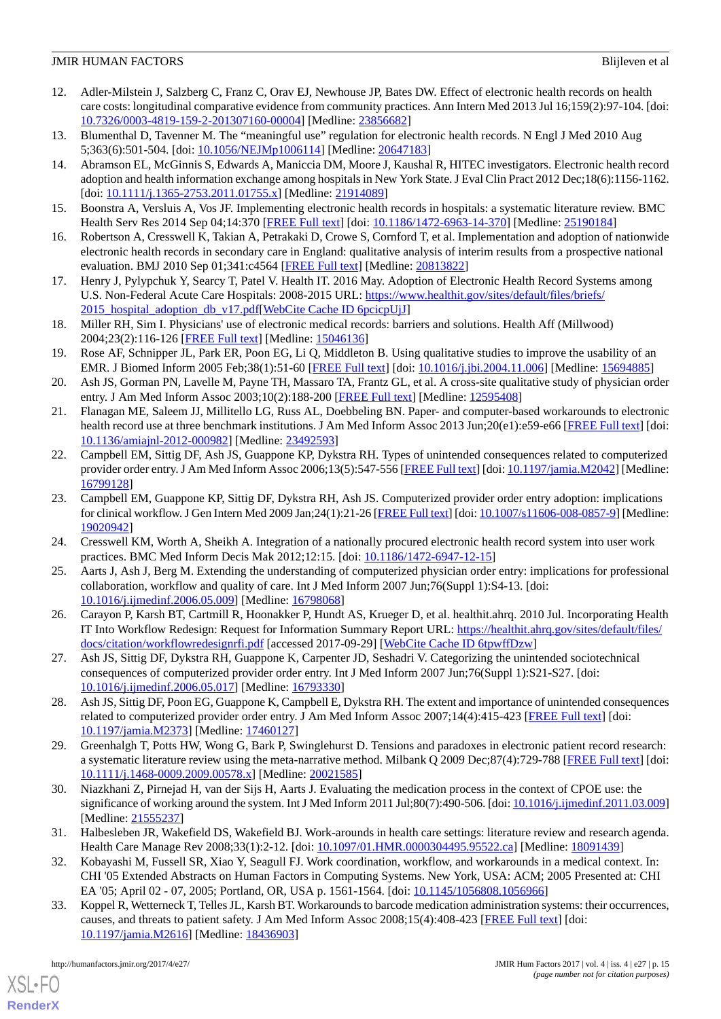- <span id="page-14-0"></span>12. Adler-Milstein J, Salzberg C, Franz C, Orav EJ, Newhouse JP, Bates DW. Effect of electronic health records on health care costs: longitudinal comparative evidence from community practices. Ann Intern Med 2013 Jul 16;159(2):97-104. [doi: [10.7326/0003-4819-159-2-201307160-00004](http://dx.doi.org/10.7326/0003-4819-159-2-201307160-00004)] [Medline: [23856682](http://www.ncbi.nlm.nih.gov/entrez/query.fcgi?cmd=Retrieve&db=PubMed&list_uids=23856682&dopt=Abstract)]
- <span id="page-14-2"></span><span id="page-14-1"></span>13. Blumenthal D, Tavenner M. The "meaningful use" regulation for electronic health records. N Engl J Med 2010 Aug 5;363(6):501-504. [doi: [10.1056/NEJMp1006114\]](http://dx.doi.org/10.1056/NEJMp1006114) [Medline: [20647183\]](http://www.ncbi.nlm.nih.gov/entrez/query.fcgi?cmd=Retrieve&db=PubMed&list_uids=20647183&dopt=Abstract)
- 14. Abramson EL, McGinnis S, Edwards A, Maniccia DM, Moore J, Kaushal R, HITEC investigators. Electronic health record adoption and health information exchange among hospitals in New York State. J Eval Clin Pract 2012 Dec;18(6):1156-1162. [doi: [10.1111/j.1365-2753.2011.01755.x](http://dx.doi.org/10.1111/j.1365-2753.2011.01755.x)] [Medline: [21914089](http://www.ncbi.nlm.nih.gov/entrez/query.fcgi?cmd=Retrieve&db=PubMed&list_uids=21914089&dopt=Abstract)]
- <span id="page-14-3"></span>15. Boonstra A, Versluis A, Vos JF. Implementing electronic health records in hospitals: a systematic literature review. BMC Health Serv Res 2014 Sep 04;14:370 [\[FREE Full text\]](http://bmchealthservres.biomedcentral.com/articles/10.1186/1472-6963-14-370) [doi: [10.1186/1472-6963-14-370](http://dx.doi.org/10.1186/1472-6963-14-370)] [Medline: [25190184](http://www.ncbi.nlm.nih.gov/entrez/query.fcgi?cmd=Retrieve&db=PubMed&list_uids=25190184&dopt=Abstract)]
- <span id="page-14-4"></span>16. Robertson A, Cresswell K, Takian A, Petrakaki D, Crowe S, Cornford T, et al. Implementation and adoption of nationwide electronic health records in secondary care in England: qualitative analysis of interim results from a prospective national evaluation. BMJ 2010 Sep 01;341:c4564 [[FREE Full text\]](http://www.bmj.com/cgi/pmidlookup?view=long&pmid=20813822) [Medline: [20813822\]](http://www.ncbi.nlm.nih.gov/entrez/query.fcgi?cmd=Retrieve&db=PubMed&list_uids=20813822&dopt=Abstract)
- <span id="page-14-5"></span>17. Henry J, Pylypchuk Y, Searcy T, Patel V. Health IT. 2016 May. Adoption of Electronic Health Record Systems among U.S. Non-Federal Acute Care Hospitals: 2008-2015 URL: [https://www.healthit.gov/sites/default/files/briefs/](https://www.healthit.gov/sites/default/files/briefs/2015_hospital_adoption_db_v17.pdf) [2015\\_hospital\\_adoption\\_db\\_v17.pdf](https://www.healthit.gov/sites/default/files/briefs/2015_hospital_adoption_db_v17.pdf)[\[WebCite Cache ID 6pcicpUjJ\]](http://www.webcitation.org/

                                6pcicpUjJ)
- <span id="page-14-6"></span>18. Miller RH, Sim I. Physicians' use of electronic medical records: barriers and solutions. Health Aff (Millwood) 2004;23(2):116-126 [[FREE Full text](http://content.healthaffairs.org/cgi/pmidlookup?view=long&pmid=15046136)] [Medline: [15046136](http://www.ncbi.nlm.nih.gov/entrez/query.fcgi?cmd=Retrieve&db=PubMed&list_uids=15046136&dopt=Abstract)]
- <span id="page-14-7"></span>19. Rose AF, Schnipper JL, Park ER, Poon EG, Li Q, Middleton B. Using qualitative studies to improve the usability of an EMR. J Biomed Inform 2005 Feb;38(1):51-60 [[FREE Full text](https://linkinghub.elsevier.com/retrieve/pii/S1532-0464(04)00152-2)] [doi: [10.1016/j.jbi.2004.11.006](http://dx.doi.org/10.1016/j.jbi.2004.11.006)] [Medline: [15694885\]](http://www.ncbi.nlm.nih.gov/entrez/query.fcgi?cmd=Retrieve&db=PubMed&list_uids=15694885&dopt=Abstract)
- <span id="page-14-8"></span>20. Ash JS, Gorman PN, Lavelle M, Payne TH, Massaro TA, Frantz GL, et al. A cross-site qualitative study of physician order entry. J Am Med Inform Assoc 2003;10(2):188-200 [[FREE Full text](http://jamia.oxfordjournals.org/cgi/pmidlookup?view=long&pmid=12595408)] [Medline: [12595408\]](http://www.ncbi.nlm.nih.gov/entrez/query.fcgi?cmd=Retrieve&db=PubMed&list_uids=12595408&dopt=Abstract)
- <span id="page-14-9"></span>21. Flanagan ME, Saleem JJ, Millitello LG, Russ AL, Doebbeling BN. Paper- and computer-based workarounds to electronic health record use at three benchmark institutions. J Am Med Inform Assoc 2013 Jun;20(e1):e59-e66 [[FREE Full text](http://jamia.oxfordjournals.org/cgi/pmidlookup?view=long&pmid=23492593)] [doi: [10.1136/amiajnl-2012-000982](http://dx.doi.org/10.1136/amiajnl-2012-000982)] [Medline: [23492593](http://www.ncbi.nlm.nih.gov/entrez/query.fcgi?cmd=Retrieve&db=PubMed&list_uids=23492593&dopt=Abstract)]
- <span id="page-14-10"></span>22. Campbell EM, Sittig DF, Ash JS, Guappone KP, Dykstra RH. Types of unintended consequences related to computerized provider order entry. J Am Med Inform Assoc 2006;13(5):547-556 [\[FREE Full text](http://jamia.oxfordjournals.org/cgi/pmidlookup?view=long&pmid=16799128)] [doi: [10.1197/jamia.M2042](http://dx.doi.org/10.1197/jamia.M2042)] [Medline: [16799128](http://www.ncbi.nlm.nih.gov/entrez/query.fcgi?cmd=Retrieve&db=PubMed&list_uids=16799128&dopt=Abstract)]
- 23. Campbell EM, Guappone KP, Sittig DF, Dykstra RH, Ash JS. Computerized provider order entry adoption: implications for clinical workflow. J Gen Intern Med 2009 Jan;24(1):21-26 [[FREE Full text](http://europepmc.org/abstract/MED/19020942)] [doi: [10.1007/s11606-008-0857-9\]](http://dx.doi.org/10.1007/s11606-008-0857-9) [Medline: [19020942](http://www.ncbi.nlm.nih.gov/entrez/query.fcgi?cmd=Retrieve&db=PubMed&list_uids=19020942&dopt=Abstract)]
- <span id="page-14-11"></span>24. Cresswell KM, Worth A, Sheikh A. Integration of a nationally procured electronic health record system into user work practices. BMC Med Inform Decis Mak 2012;12:15. [doi: [10.1186/1472-6947-12-15](http://dx.doi.org/10.1186/1472-6947-12-15)]
- <span id="page-14-12"></span>25. Aarts J, Ash J, Berg M. Extending the understanding of computerized physician order entry: implications for professional collaboration, workflow and quality of care. Int J Med Inform 2007 Jun;76(Suppl 1):S4-13. [doi: [10.1016/j.ijmedinf.2006.05.009\]](http://dx.doi.org/10.1016/j.ijmedinf.2006.05.009) [Medline: [16798068](http://www.ncbi.nlm.nih.gov/entrez/query.fcgi?cmd=Retrieve&db=PubMed&list_uids=16798068&dopt=Abstract)]
- 26. Carayon P, Karsh BT, Cartmill R, Hoonakker P, Hundt AS, Krueger D, et al. healthit.ahrq. 2010 Jul. Incorporating Health IT Into Workflow Redesign: Request for Information Summary Report URL: [https://healthit.ahrq.gov/sites/default/files/](https://healthit.ahrq.gov/sites/default/files/docs/citation/workflowredesignrfi.pdf) [docs/citation/workflowredesignrfi.pdf](https://healthit.ahrq.gov/sites/default/files/docs/citation/workflowredesignrfi.pdf) [accessed 2017-09-29] [\[WebCite Cache ID 6tpwffDzw](http://www.webcitation.org/

                                6tpwffDzw)]
- <span id="page-14-13"></span>27. Ash JS, Sittig DF, Dykstra RH, Guappone K, Carpenter JD, Seshadri V. Categorizing the unintended sociotechnical consequences of computerized provider order entry. Int J Med Inform 2007 Jun;76(Suppl 1):S21-S27. [doi: [10.1016/j.ijmedinf.2006.05.017\]](http://dx.doi.org/10.1016/j.ijmedinf.2006.05.017) [Medline: [16793330](http://www.ncbi.nlm.nih.gov/entrez/query.fcgi?cmd=Retrieve&db=PubMed&list_uids=16793330&dopt=Abstract)]
- <span id="page-14-14"></span>28. Ash JS, Sittig DF, Poon EG, Guappone K, Campbell E, Dykstra RH. The extent and importance of unintended consequences related to computerized provider order entry. J Am Med Inform Assoc 2007;14(4):415-423 [\[FREE Full text\]](http://europepmc.org/abstract/MED/17460127) [doi: [10.1197/jamia.M2373](http://dx.doi.org/10.1197/jamia.M2373)] [Medline: [17460127](http://www.ncbi.nlm.nih.gov/entrez/query.fcgi?cmd=Retrieve&db=PubMed&list_uids=17460127&dopt=Abstract)]
- <span id="page-14-15"></span>29. Greenhalgh T, Potts HW, Wong G, Bark P, Swinglehurst D. Tensions and paradoxes in electronic patient record research: a systematic literature review using the meta-narrative method. Milbank Q 2009 Dec;87(4):729-788 [\[FREE Full text](http://europepmc.org/abstract/MED/20021585)] [doi: [10.1111/j.1468-0009.2009.00578.x\]](http://dx.doi.org/10.1111/j.1468-0009.2009.00578.x) [Medline: [20021585\]](http://www.ncbi.nlm.nih.gov/entrez/query.fcgi?cmd=Retrieve&db=PubMed&list_uids=20021585&dopt=Abstract)
- <span id="page-14-16"></span>30. Niazkhani Z, Pirnejad H, van der Sijs H, Aarts J. Evaluating the medication process in the context of CPOE use: the significance of working around the system. Int J Med Inform 2011 Jul;80(7):490-506. [doi: [10.1016/j.ijmedinf.2011.03.009\]](http://dx.doi.org/10.1016/j.ijmedinf.2011.03.009) [Medline: [21555237](http://www.ncbi.nlm.nih.gov/entrez/query.fcgi?cmd=Retrieve&db=PubMed&list_uids=21555237&dopt=Abstract)]
- <span id="page-14-17"></span>31. Halbesleben JR, Wakefield DS, Wakefield BJ. Work-arounds in health care settings: literature review and research agenda. Health Care Manage Rev 2008;33(1):2-12. [doi: [10.1097/01.HMR.0000304495.95522.ca](http://dx.doi.org/10.1097/01.HMR.0000304495.95522.ca)] [Medline: [18091439\]](http://www.ncbi.nlm.nih.gov/entrez/query.fcgi?cmd=Retrieve&db=PubMed&list_uids=18091439&dopt=Abstract)
- 32. Kobayashi M, Fussell SR, Xiao Y, Seagull FJ. Work coordination, workflow, and workarounds in a medical context. In: CHI '05 Extended Abstracts on Human Factors in Computing Systems. New York, USA: ACM; 2005 Presented at: CHI EA '05; April 02 - 07, 2005; Portland, OR, USA p. 1561-1564. [doi: [10.1145/1056808.1056966](http://dx.doi.org/10.1145/1056808.1056966)]
- 33. Koppel R, Wetterneck T, Telles JL, Karsh BT. Workarounds to barcode medication administration systems: their occurrences, causes, and threats to patient safety. J Am Med Inform Assoc 2008;15(4):408-423 [\[FREE Full text\]](http://jamia.oxfordjournals.org/cgi/pmidlookup?view=long&pmid=18436903) [doi: [10.1197/jamia.M2616](http://dx.doi.org/10.1197/jamia.M2616)] [Medline: [18436903](http://www.ncbi.nlm.nih.gov/entrez/query.fcgi?cmd=Retrieve&db=PubMed&list_uids=18436903&dopt=Abstract)]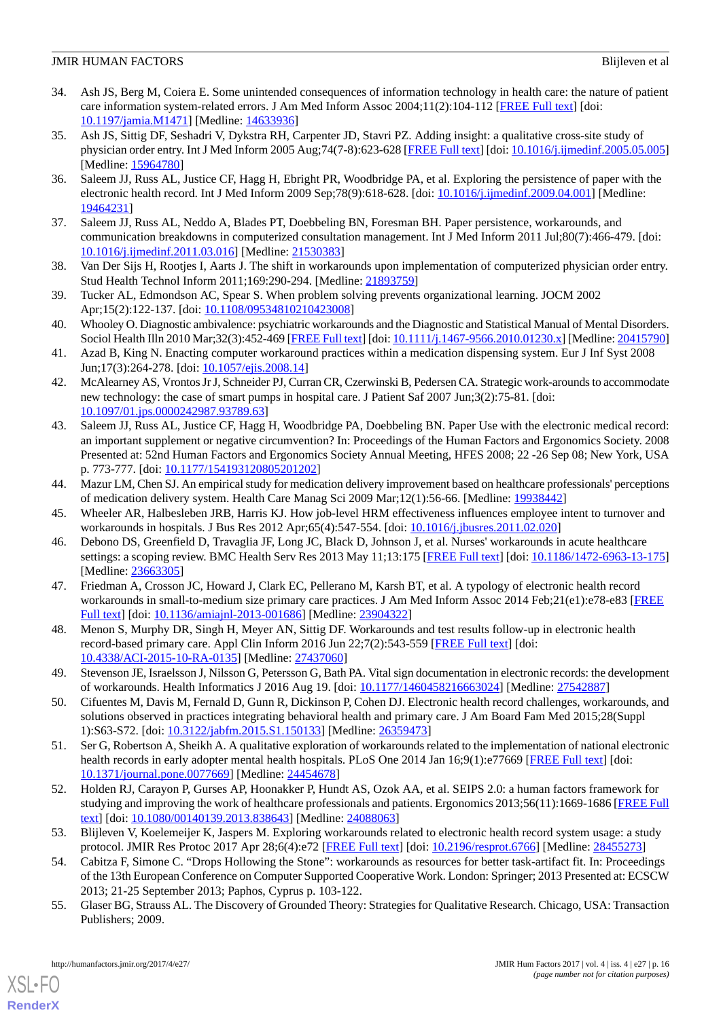- <span id="page-15-0"></span>34. Ash JS, Berg M, Coiera E. Some unintended consequences of information technology in health care: the nature of patient care information system-related errors. J Am Med Inform Assoc 2004;11(2):104-112 [[FREE Full text](http://jamia.oxfordjournals.org/lookup/pmidlookup?view=long&pmid=14633936)] [doi: [10.1197/jamia.M1471](http://dx.doi.org/10.1197/jamia.M1471)] [Medline: [14633936](http://www.ncbi.nlm.nih.gov/entrez/query.fcgi?cmd=Retrieve&db=PubMed&list_uids=14633936&dopt=Abstract)]
- 35. Ash JS, Sittig DF, Seshadri V, Dykstra RH, Carpenter JD, Stavri PZ. Adding insight: a qualitative cross-site study of physician order entry. Int J Med Inform 2005 Aug;74(7-8):623-628 [[FREE Full text](http://europepmc.org/abstract/MED/15964780)] [doi: [10.1016/j.ijmedinf.2005.05.005](http://dx.doi.org/10.1016/j.ijmedinf.2005.05.005)] [Medline: [15964780](http://www.ncbi.nlm.nih.gov/entrez/query.fcgi?cmd=Retrieve&db=PubMed&list_uids=15964780&dopt=Abstract)]
- <span id="page-15-6"></span>36. Saleem JJ, Russ AL, Justice CF, Hagg H, Ebright PR, Woodbridge PA, et al. Exploring the persistence of paper with the electronic health record. Int J Med Inform 2009 Sep;78(9):618-628. [doi: [10.1016/j.ijmedinf.2009.04.001](http://dx.doi.org/10.1016/j.ijmedinf.2009.04.001)] [Medline: [19464231](http://www.ncbi.nlm.nih.gov/entrez/query.fcgi?cmd=Retrieve&db=PubMed&list_uids=19464231&dopt=Abstract)]
- <span id="page-15-2"></span><span id="page-15-1"></span>37. Saleem JJ, Russ AL, Neddo A, Blades PT, Doebbeling BN, Foresman BH. Paper persistence, workarounds, and communication breakdowns in computerized consultation management. Int J Med Inform 2011 Jul;80(7):466-479. [doi: [10.1016/j.ijmedinf.2011.03.016\]](http://dx.doi.org/10.1016/j.ijmedinf.2011.03.016) [Medline: [21530383](http://www.ncbi.nlm.nih.gov/entrez/query.fcgi?cmd=Retrieve&db=PubMed&list_uids=21530383&dopt=Abstract)]
- <span id="page-15-3"></span>38. Van Der Sijs H, Rootjes I, Aarts J. The shift in workarounds upon implementation of computerized physician order entry. Stud Health Technol Inform 2011;169:290-294. [Medline: [21893759](http://www.ncbi.nlm.nih.gov/entrez/query.fcgi?cmd=Retrieve&db=PubMed&list_uids=21893759&dopt=Abstract)]
- <span id="page-15-4"></span>39. Tucker AL, Edmondson AC, Spear S. When problem solving prevents organizational learning. JOCM 2002 Apr;15(2):122-137. [doi: [10.1108/09534810210423008](http://dx.doi.org/10.1108/09534810210423008)]
- <span id="page-15-5"></span>40. Whooley O. Diagnostic ambivalence: psychiatric workarounds and the Diagnostic and Statistical Manual of Mental Disorders. Sociol Health Illn 2010 Mar;32(3):452-469 [\[FREE Full text\]](http://dx.doi.org/10.1111/j.1467-9566.2010.01230.x) [doi: [10.1111/j.1467-9566.2010.01230.x](http://dx.doi.org/10.1111/j.1467-9566.2010.01230.x)] [Medline: [20415790\]](http://www.ncbi.nlm.nih.gov/entrez/query.fcgi?cmd=Retrieve&db=PubMed&list_uids=20415790&dopt=Abstract)
- <span id="page-15-7"></span>41. Azad B, King N. Enacting computer workaround practices within a medication dispensing system. Eur J Inf Syst 2008 Jun;17(3):264-278. [doi: [10.1057/ejis.2008.14\]](http://dx.doi.org/10.1057/ejis.2008.14)
- 42. McAlearney AS, Vrontos Jr J, Schneider PJ, Curran CR, Czerwinski B, Pedersen CA. Strategic work-arounds to accommodate new technology: the case of smart pumps in hospital care. J Patient Saf 2007 Jun;3(2):75-81. [doi: [10.1097/01.jps.0000242987.93789.63](http://dx.doi.org/10.1097/01.jps.0000242987.93789.63)]
- 43. Saleem JJ, Russ AL, Justice CF, Hagg H, Woodbridge PA, Doebbeling BN. Paper Use with the electronic medical record: an important supplement or negative circumvention? In: Proceedings of the Human Factors and Ergonomics Society. 2008 Presented at: 52nd Human Factors and Ergonomics Society Annual Meeting, HFES 2008; 22 -26 Sep 08; New York, USA p. 773-777. [doi: [10.1177/154193120805201202\]](http://dx.doi.org/10.1177/154193120805201202)
- 44. Mazur LM, Chen SJ. An empirical study for medication delivery improvement based on healthcare professionals' perceptions of medication delivery system. Health Care Manag Sci 2009 Mar;12(1):56-66. [Medline: [19938442\]](http://www.ncbi.nlm.nih.gov/entrez/query.fcgi?cmd=Retrieve&db=PubMed&list_uids=19938442&dopt=Abstract)
- <span id="page-15-8"></span>45. Wheeler AR, Halbesleben JRB, Harris KJ. How job-level HRM effectiveness influences employee intent to turnover and workarounds in hospitals. J Bus Res 2012 Apr;65(4):547-554. [doi: [10.1016/j.jbusres.2011.02.020](http://dx.doi.org/10.1016/j.jbusres.2011.02.020)]
- 46. Debono DS, Greenfield D, Travaglia JF, Long JC, Black D, Johnson J, et al. Nurses' workarounds in acute healthcare settings: a scoping review. BMC Health Serv Res 2013 May 11;13:175 [[FREE Full text](http://bmchealthservres.biomedcentral.com/articles/10.1186/1472-6963-13-175)] [doi: [10.1186/1472-6963-13-175](http://dx.doi.org/10.1186/1472-6963-13-175)] [Medline: [23663305](http://www.ncbi.nlm.nih.gov/entrez/query.fcgi?cmd=Retrieve&db=PubMed&list_uids=23663305&dopt=Abstract)]
- <span id="page-15-9"></span>47. Friedman A, Crosson JC, Howard J, Clark EC, Pellerano M, Karsh BT, et al. A typology of electronic health record workarounds in small-to-medium size primary care practices. J Am Med Inform Assoc 2014 Feb;21(e1):e78-e83 [[FREE](http://europepmc.org/abstract/MED/23904322) [Full text\]](http://europepmc.org/abstract/MED/23904322) [doi: [10.1136/amiajnl-2013-001686](http://dx.doi.org/10.1136/amiajnl-2013-001686)] [Medline: [23904322\]](http://www.ncbi.nlm.nih.gov/entrez/query.fcgi?cmd=Retrieve&db=PubMed&list_uids=23904322&dopt=Abstract)
- <span id="page-15-15"></span>48. Menon S, Murphy DR, Singh H, Meyer AN, Sittig DF. Workarounds and test results follow-up in electronic health record-based primary care. Appl Clin Inform 2016 Jun 22;7(2):543-559 [\[FREE Full text\]](http://europepmc.org/abstract/MED/27437060) [doi: [10.4338/ACI-2015-10-RA-0135\]](http://dx.doi.org/10.4338/ACI-2015-10-RA-0135) [Medline: [27437060\]](http://www.ncbi.nlm.nih.gov/entrez/query.fcgi?cmd=Retrieve&db=PubMed&list_uids=27437060&dopt=Abstract)
- <span id="page-15-10"></span>49. Stevenson JE, Israelsson J, Nilsson G, Petersson G, Bath PA. Vital sign documentation in electronic records: the development of workarounds. Health Informatics J 2016 Aug 19. [doi: [10.1177/1460458216663024](http://dx.doi.org/10.1177/1460458216663024)] [Medline: [27542887](http://www.ncbi.nlm.nih.gov/entrez/query.fcgi?cmd=Retrieve&db=PubMed&list_uids=27542887&dopt=Abstract)]
- <span id="page-15-11"></span>50. Cifuentes M, Davis M, Fernald D, Gunn R, Dickinson P, Cohen DJ. Electronic health record challenges, workarounds, and solutions observed in practices integrating behavioral health and primary care. J Am Board Fam Med 2015;28(Suppl 1):S63-S72. [doi: [10.3122/jabfm.2015.S1.150133](http://dx.doi.org/10.3122/jabfm.2015.S1.150133)] [Medline: [26359473\]](http://www.ncbi.nlm.nih.gov/entrez/query.fcgi?cmd=Retrieve&db=PubMed&list_uids=26359473&dopt=Abstract)
- <span id="page-15-12"></span>51. Ser G, Robertson A, Sheikh A. A qualitative exploration of workarounds related to the implementation of national electronic health records in early adopter mental health hospitals. PLoS One 2014 Jan 16;9(1):e77669 [[FREE Full text](http://dx.plos.org/10.1371/journal.pone.0077669)] [doi: [10.1371/journal.pone.0077669\]](http://dx.doi.org/10.1371/journal.pone.0077669) [Medline: [24454678](http://www.ncbi.nlm.nih.gov/entrez/query.fcgi?cmd=Retrieve&db=PubMed&list_uids=24454678&dopt=Abstract)]
- <span id="page-15-13"></span>52. Holden RJ, Carayon P, Gurses AP, Hoonakker P, Hundt AS, Ozok AA, et al. SEIPS 2.0: a human factors framework for studying and improving the work of healthcare professionals and patients. Ergonomics 2013;56(11):1669-1686 [\[FREE Full](http://europepmc.org/abstract/MED/24088063) [text](http://europepmc.org/abstract/MED/24088063)] [doi: [10.1080/00140139.2013.838643\]](http://dx.doi.org/10.1080/00140139.2013.838643) [Medline: [24088063\]](http://www.ncbi.nlm.nih.gov/entrez/query.fcgi?cmd=Retrieve&db=PubMed&list_uids=24088063&dopt=Abstract)
- <span id="page-15-14"></span>53. Blijleven V, Koelemeijer K, Jaspers M. Exploring workarounds related to electronic health record system usage: a study protocol. JMIR Res Protoc 2017 Apr 28;6(4):e72 [\[FREE Full text\]](http://www.researchprotocols.org/2017/4/e72/) [doi: [10.2196/resprot.6766](http://dx.doi.org/10.2196/resprot.6766)] [Medline: [28455273](http://www.ncbi.nlm.nih.gov/entrez/query.fcgi?cmd=Retrieve&db=PubMed&list_uids=28455273&dopt=Abstract)]
- 54. Cabitza F, Simone C. "Drops Hollowing the Stone": workarounds as resources for better task-artifact fit. In: Proceedings of the 13th European Conference on Computer Supported Cooperative Work. London: Springer; 2013 Presented at: ECSCW 2013; 21-25 September 2013; Paphos, Cyprus p. 103-122.
- 55. Glaser BG, Strauss AL. The Discovery of Grounded Theory: Strategies for Qualitative Research. Chicago, USA: Transaction Publishers; 2009.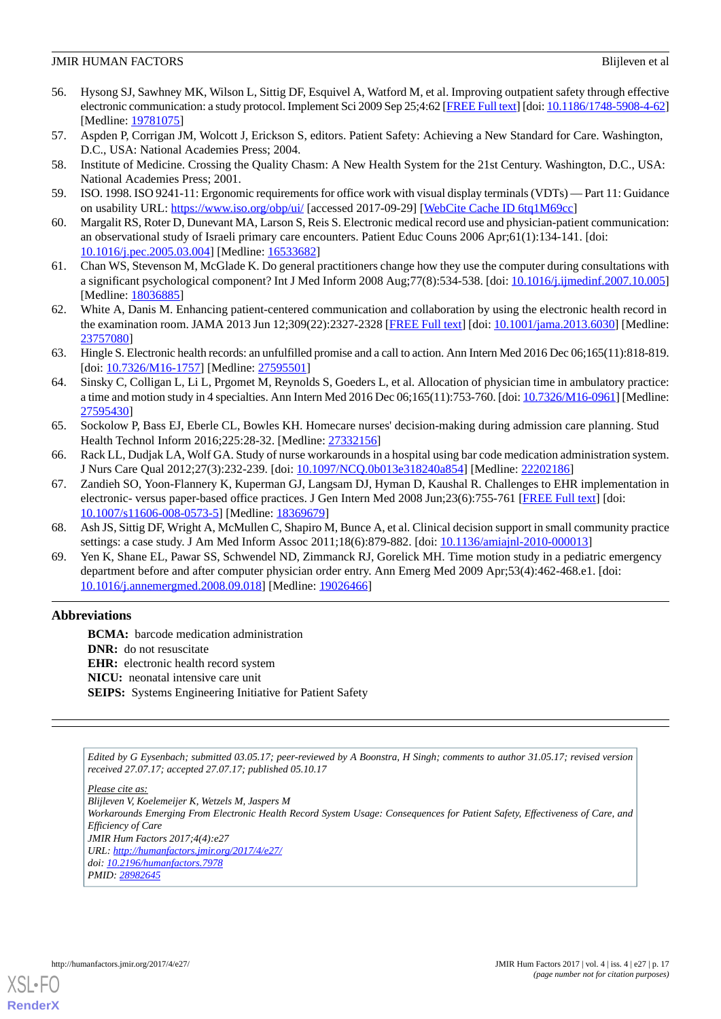- <span id="page-16-0"></span>56. Hysong SJ, Sawhney MK, Wilson L, Sittig DF, Esquivel A, Watford M, et al. Improving outpatient safety through effective electronic communication: a study protocol. Implement Sci 2009 Sep 25;4:62 [[FREE Full text](http://implementationscience.biomedcentral.com/articles/10.1186/1748-5908-4-62)] [doi: [10.1186/1748-5908-4-62](http://dx.doi.org/10.1186/1748-5908-4-62)] [Medline: [19781075](http://www.ncbi.nlm.nih.gov/entrez/query.fcgi?cmd=Retrieve&db=PubMed&list_uids=19781075&dopt=Abstract)]
- <span id="page-16-2"></span><span id="page-16-1"></span>57. Aspden P, Corrigan JM, Wolcott J, Erickson S, editors. Patient Safety: Achieving a New Standard for Care. Washington, D.C., USA: National Academies Press; 2004.
- <span id="page-16-3"></span>58. Institute of Medicine. Crossing the Quality Chasm: A New Health System for the 21st Century. Washington, D.C., USA: National Academies Press; 2001.
- <span id="page-16-4"></span>59. ISO. 1998. ISO 9241-11: Ergonomic requirements for office work with visual display terminals (VDTs) — Part 11: Guidance on usability URL:<https://www.iso.org/obp/ui/> [accessed 2017-09-29] [\[WebCite Cache ID 6tq1M69cc\]](http://www.webcitation.org/

                                6tq1M69cc)
- 60. Margalit RS, Roter D, Dunevant MA, Larson S, Reis S. Electronic medical record use and physician-patient communication: an observational study of Israeli primary care encounters. Patient Educ Couns 2006 Apr;61(1):134-141. [doi: [10.1016/j.pec.2005.03.004\]](http://dx.doi.org/10.1016/j.pec.2005.03.004) [Medline: [16533682](http://www.ncbi.nlm.nih.gov/entrez/query.fcgi?cmd=Retrieve&db=PubMed&list_uids=16533682&dopt=Abstract)]
- <span id="page-16-5"></span>61. Chan WS, Stevenson M, McGlade K. Do general practitioners change how they use the computer during consultations with a significant psychological component? Int J Med Inform 2008 Aug;77(8):534-538. [doi: [10.1016/j.ijmedinf.2007.10.005](http://dx.doi.org/10.1016/j.ijmedinf.2007.10.005)] [Medline: [18036885](http://www.ncbi.nlm.nih.gov/entrez/query.fcgi?cmd=Retrieve&db=PubMed&list_uids=18036885&dopt=Abstract)]
- <span id="page-16-6"></span>62. White A, Danis M. Enhancing patient-centered communication and collaboration by using the electronic health record in the examination room. JAMA 2013 Jun 12;309(22):2327-2328 [[FREE Full text](http://europepmc.org/abstract/MED/23757080)] [doi: [10.1001/jama.2013.6030\]](http://dx.doi.org/10.1001/jama.2013.6030) [Medline: [23757080](http://www.ncbi.nlm.nih.gov/entrez/query.fcgi?cmd=Retrieve&db=PubMed&list_uids=23757080&dopt=Abstract)]
- <span id="page-16-7"></span>63. Hingle S. Electronic health records: an unfulfilled promise and a call to action. Ann Intern Med 2016 Dec 06;165(11):818-819. [doi: [10.7326/M16-1757](http://dx.doi.org/10.7326/M16-1757)] [Medline: [27595501](http://www.ncbi.nlm.nih.gov/entrez/query.fcgi?cmd=Retrieve&db=PubMed&list_uids=27595501&dopt=Abstract)]
- <span id="page-16-8"></span>64. Sinsky C, Colligan L, Li L, Prgomet M, Reynolds S, Goeders L, et al. Allocation of physician time in ambulatory practice: a time and motion study in 4 specialties. Ann Intern Med 2016 Dec 06;165(11):753-760. [doi: [10.7326/M16-0961\]](http://dx.doi.org/10.7326/M16-0961) [Medline: [27595430](http://www.ncbi.nlm.nih.gov/entrez/query.fcgi?cmd=Retrieve&db=PubMed&list_uids=27595430&dopt=Abstract)]
- <span id="page-16-10"></span><span id="page-16-9"></span>65. Sockolow P, Bass EJ, Eberle CL, Bowles KH. Homecare nurses' decision-making during admission care planning. Stud Health Technol Inform 2016;225:28-32. [Medline: [27332156](http://www.ncbi.nlm.nih.gov/entrez/query.fcgi?cmd=Retrieve&db=PubMed&list_uids=27332156&dopt=Abstract)]
- 66. Rack LL, Dudjak LA, Wolf GA. Study of nurse workarounds in a hospital using bar code medication administration system. J Nurs Care Qual 2012;27(3):232-239. [doi: [10.1097/NCQ.0b013e318240a854\]](http://dx.doi.org/10.1097/NCQ.0b013e318240a854) [Medline: [22202186\]](http://www.ncbi.nlm.nih.gov/entrez/query.fcgi?cmd=Retrieve&db=PubMed&list_uids=22202186&dopt=Abstract)
- <span id="page-16-12"></span><span id="page-16-11"></span>67. Zandieh SO, Yoon-Flannery K, Kuperman GJ, Langsam DJ, Hyman D, Kaushal R. Challenges to EHR implementation in electronic- versus paper-based office practices. J Gen Intern Med 2008 Jun;23(6):755-761 [[FREE Full text](http://europepmc.org/abstract/MED/18369679)] [doi: [10.1007/s11606-008-0573-5\]](http://dx.doi.org/10.1007/s11606-008-0573-5) [Medline: [18369679](http://www.ncbi.nlm.nih.gov/entrez/query.fcgi?cmd=Retrieve&db=PubMed&list_uids=18369679&dopt=Abstract)]
- 68. Ash JS, Sittig DF, Wright A, McMullen C, Shapiro M, Bunce A, et al. Clinical decision support in small community practice settings: a case study. J Am Med Inform Assoc 2011;18(6):879-882. [doi: [10.1136/amiajnl-2010-000013\]](http://dx.doi.org/10.1136/amiajnl-2010-000013)
- 69. Yen K, Shane EL, Pawar SS, Schwendel ND, Zimmanck RJ, Gorelick MH. Time motion study in a pediatric emergency department before and after computer physician order entry. Ann Emerg Med 2009 Apr;53(4):462-468.e1. [doi: [10.1016/j.annemergmed.2008.09.018](http://dx.doi.org/10.1016/j.annemergmed.2008.09.018)] [Medline: [19026466\]](http://www.ncbi.nlm.nih.gov/entrez/query.fcgi?cmd=Retrieve&db=PubMed&list_uids=19026466&dopt=Abstract)

# **Abbreviations**

**BCMA:** barcode medication administration **DNR:** do not resuscitate **EHR:** electronic health record system **NICU:** neonatal intensive care unit **SEIPS:** Systems Engineering Initiative for Patient Safety

*Edited by G Eysenbach; submitted 03.05.17; peer-reviewed by A Boonstra, H Singh; comments to author 31.05.17; revised version received 27.07.17; accepted 27.07.17; published 05.10.17*

*Please cite as:*

*Blijleven V, Koelemeijer K, Wetzels M, Jaspers M Workarounds Emerging From Electronic Health Record System Usage: Consequences for Patient Safety, Effectiveness of Care, and Efficiency of Care JMIR Hum Factors 2017;4(4):e27 URL: <http://humanfactors.jmir.org/2017/4/e27/> doi: [10.2196/humanfactors.7978](http://dx.doi.org/10.2196/humanfactors.7978) PMID: [28982645](http://www.ncbi.nlm.nih.gov/entrez/query.fcgi?cmd=Retrieve&db=PubMed&list_uids=28982645&dopt=Abstract)*